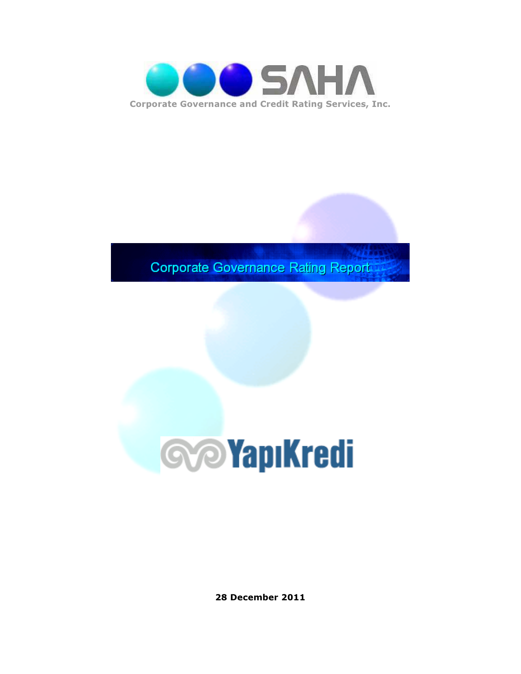

**Corporate Governance Rating Report** 



28 December 2011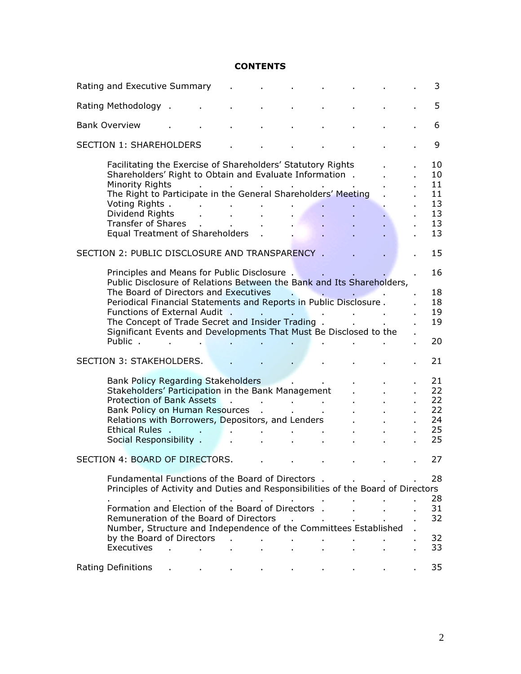#### **CONTENTS**

| Rating and Executive Summary                                                                                                                                                                                                                                                                                           |                     |                        |              |                                                                          |                                                         |  |  | 3                                            |
|------------------------------------------------------------------------------------------------------------------------------------------------------------------------------------------------------------------------------------------------------------------------------------------------------------------------|---------------------|------------------------|--------------|--------------------------------------------------------------------------|---------------------------------------------------------|--|--|----------------------------------------------|
| Rating Methodology .                                                                                                                                                                                                                                                                                                   |                     |                        |              |                                                                          |                                                         |  |  | 5                                            |
| <b>Bank Overview</b>                                                                                                                                                                                                                                                                                                   |                     |                        |              |                                                                          |                                                         |  |  | 6                                            |
| <b>SECTION 1: SHAREHOLDERS</b>                                                                                                                                                                                                                                                                                         |                     |                        |              |                                                                          |                                                         |  |  | 9                                            |
| Facilitating the Exercise of Shareholders' Statutory Rights<br>Shareholders' Right to Obtain and Evaluate Information.<br>Minority Rights<br>The Right to Participate in the General Shareholders' Meeting<br>Voting Rights.<br>Dividend Rights<br><b>Transfer of Shares</b><br><b>Equal Treatment of Shareholders</b> |                     |                        |              | $\mathbf{a}$ , $\mathbf{a}$ , $\mathbf{a}$ , $\mathbf{a}$ , $\mathbf{a}$ |                                                         |  |  | 10<br>10<br>11<br>11<br>13<br>13<br>13<br>13 |
| SECTION 2: PUBLIC DISCLOSURE AND TRANSPARENCY.                                                                                                                                                                                                                                                                         |                     |                        |              |                                                                          |                                                         |  |  | 15                                           |
| Principles and Means for Public Disclosure.<br>Public Disclosure of Relations Between the Bank and Its Shareholders,                                                                                                                                                                                                   |                     |                        |              |                                                                          |                                                         |  |  | 16                                           |
| The Board of Directors and Executives<br>Periodical Financial Statements and Reports in Public Disclosure.<br>Functions of External Audit .<br>The Concept of Trade Secret and Insider Trading.<br>Significant Events and Developments That Must Be Disclosed to the<br>Public.                                        |                     |                        |              |                                                                          |                                                         |  |  | 18<br>18<br>19<br>19<br>20                   |
| SECTION 3: STAKEHOLDERS.                                                                                                                                                                                                                                                                                               |                     |                        |              |                                                                          |                                                         |  |  | 21                                           |
| <b>Bank Policy Regarding Stakeholders</b><br>Stakeholders' Participation in the Bank Management<br><b>Protection of Bank Assets</b><br>Bank Policy on Human Resources<br>Relations with Borrowers, Depositors, and Lenders<br>Ethical Rules,<br>Social Responsibility .                                                |                     |                        |              |                                                                          | and a strategic<br><b>Contract Contract</b>             |  |  | 21<br>22<br>22<br>22<br>24<br>25<br>25       |
| SECTION 4: BOARD OF DIRECTORS.                                                                                                                                                                                                                                                                                         |                     |                        |              |                                                                          |                                                         |  |  | 27                                           |
| Fundamental Functions of the Board of Directors . The real results of the Board of Directors .<br>Principles of Activity and Duties and Responsibilities of the Board of Directors                                                                                                                                     |                     |                        |              |                                                                          |                                                         |  |  | 28<br>28                                     |
| a control<br>and the company<br>Formation and Election of the Board of Directors .<br>Remuneration of the Board of Directors<br>Number, Structure and Independence of the Committees Established<br>by the Board of Directors                                                                                          | <b>Allen Street</b> | $\mathbf{r}$<br>$\sim$ |              |                                                                          | and the company of the com-<br><b>Contract Contract</b> |  |  | 31<br>32<br>32                               |
| Executives                                                                                                                                                                                                                                                                                                             | and the control     |                        | $\mathbf{r}$ |                                                                          |                                                         |  |  | 33                                           |
| Rating Definitions                                                                                                                                                                                                                                                                                                     |                     |                        |              |                                                                          |                                                         |  |  | 35                                           |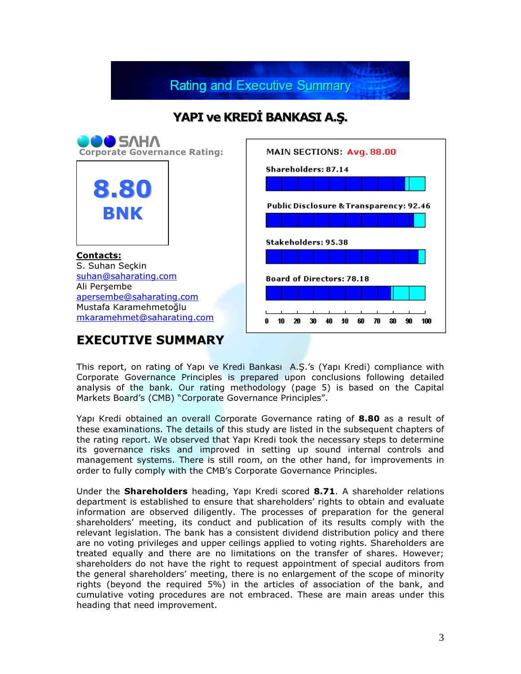**Rating and Executive Summary** 

### YAPI ve KREDİ BANKASI A.Ş.



This report, on rating of Yapı ve Kredi Bankası A.Ş.'s (Yapı Kredi) compliance with Corporate Governance Principles is prepared upon conclusions following detailed analysis of the bank. Our rating methodology (page 5) is based on the Capital Markets Board's (CMB) "Corporate Governance Principles".

Yapı Kredi obtained an overall Corporate Governance rating of 8.80 as a result of these examinations. The details of this study are listed in the subsequent chapters of the rating report. We observed that Yapı Kredi took the necessary steps to determine its governance risks and improved in setting up sound internal controls and management systems. There is still room, on the other hand, for improvements in order to fully comply with the CMB's Corporate Governance Principles.

Under the **Shareholders** heading, Yapı Kredi scored 8.71. A shareholder relations department is established to ensure that shareholders' rights to obtain and evaluate information are observed diligently. The processes of preparation for the general shareholders' meeting, its conduct and publication of its results comply with the relevant legislation. The bank has a consistent dividend distribution policy and there are no voting privileges and upper ceilings applied to voting rights. Shareholders are treated equally and there are no limitations on the transfer of shares. However; shareholders do not have the right to request appointment of special auditors from the general shareholders' meeting, there is no enlargement of the scope of minority rights (beyond the required 5%) in the articles of association of the bank, and cumulative voting procedures are not embraced. These are main areas under this heading that need improvement.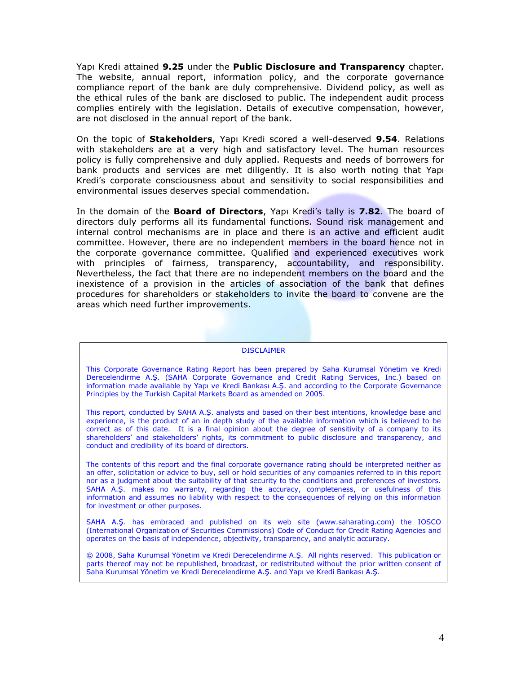Yapi Kredi attained 9.25 under the Public Disclosure and Transparency chapter. The website, annual report, information policy, and the corporate governance compliance report of the bank are duly comprehensive. Dividend policy, as well as the ethical rules of the bank are disclosed to public. The independent audit process complies entirely with the legislation. Details of executive compensation, however, are not disclosed in the annual report of the bank.

On the topic of **Stakeholders**, Yapı Kredi scored a well-deserved 9.54. Relations with stakeholders are at a very high and satisfactory level. The human resources policy is fully comprehensive and duly applied. Requests and needs of borrowers for bank products and services are met diligently. It is also worth noting that Yapı Kredi's corporate consciousness about and sensitivity to social responsibilities and environmental issues deserves special commendation.

In the domain of the **Board of Directors**, Yapı Kredi's tally is 7.82. The board of directors duly performs all its fundamental functions. Sound risk management and internal control mechanisms are in place and there is an active and efficient audit committee. However, there are no independent members in the board hence not in the corporate governance committee. Qualified and experienced executives work with principles of fairness, transparency, accountability, and responsibility. Nevertheless, the fact that there are no independent members on the board and the inexistence of a provision in the articles of association of the bank that defines procedures for shareholders or stakeholders to invite the board to convene are the areas which need further improvements.

#### **DISCLAIMER**

This Corporate Governance Rating Report has been prepared by Saha Kurumsal Yönetim ve Kredi Derecelendirme A.Ş. (SAHA Corporate Governance and Credit Rating Services, Inc.) based on information made available by Yapı ve Kredi Bankası A.Ş. and according to the Corporate Governance Principles by the Turkish Capital Markets Board as amended on 2005.

This report, conducted by SAHA A.Ş. analysts and based on their best intentions, knowledge base and experience, is the product of an in depth study of the available information which is believed to be correct as of this date. It is a final opinion about the degree of sensitivity of a company to its shareholders' and stakeholders' rights, its commitment to public disclosure and transparency, and conduct and credibility of its board of directors.

The contents of this report and the final corporate governance rating should be interpreted neither as an offer, solicitation or advice to buy, sell or hold securities of any companies referred to in this report nor as a judgment about the suitability of that security to the conditions and preferences of investors. SAHA A.Ş. makes no warranty, regarding the accuracy, completeness, or usefulness of this information and assumes no liability with respect to the consequences of relying on this information for investment or other purposes.

SAHA A.Ş. has embraced and published on its web site (www.saharating.com) the IOSCO (International Organization of Securities Commissions) Code of Conduct for Credit Rating Agencies and operates on the basis of independence, objectivity, transparency, and analytic accuracy.

© 2008, Saha Kurumsal Yönetim ve Kredi Derecelendirme A.Ş. All rights reserved. This publication or parts thereof may not be republished, broadcast, or redistributed without the prior written consent of Saha Kurumsal Yönetim ve Kredi Derecelendirme A.Ş. and Yapı ve Kredi Bankası A.Ş.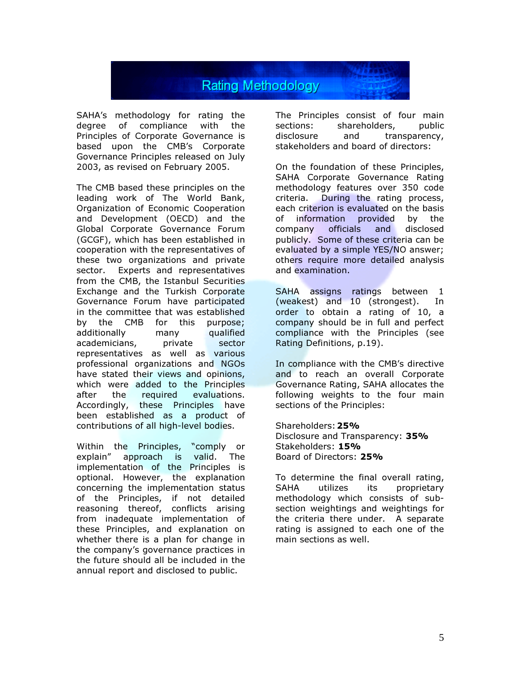

SAHA's methodology for rating the degree of compliance with the Principles of Corporate Governance is based upon the CMB's Corporate Governance Principles released on July 2003, as revised on February 2005.

The CMB based these principles on the leading work of The World Bank, Organization of Economic Cooperation and Development (OECD) and the Global Corporate Governance Forum (GCGF), which has been established in cooperation with the representatives of these two organizations and private sector. Experts and representatives from the CMB, the Istanbul Securities Exchange and the Turkish Corporate Governance Forum have participated in the committee that was established by the CMB for this purpose; additionally many qualified academicians, private sector representatives as well as various professional organizations and NGOs have stated their views and opinions, which were added to the Principles after the required evaluations. Accordingly, these Principles have been established as a product of contributions of all high-level bodies.

Within the Principles, "comply or explain" approach is valid. The implementation of the Principles is optional. However, the explanation concerning the implementation status of the Principles, if not detailed reasoning thereof, conflicts arising from inadequate implementation of these Principles, and explanation on whether there is a plan for change in the company's governance practices in the future should all be included in the annual report and disclosed to public.

The Principles consist of four main sections: shareholders, public disclosure and transparency, stakeholders and board of directors:

On the foundation of these Principles, SAHA Corporate Governance Rating methodology features over 350 code criteria. During the rating process, each criterion is evaluated on the basis of information provided by the company officials and disclosed publicly. Some of these criteria can be evaluated by a simple YES/NO answer; others require more detailed analysis and examination.

SAHA assigns ratings between 1 (weakest) and 10 (strongest). In order to obtain a rating of 10, a company should be in full and perfect compliance with the Principles (see Rating Definitions, p.19).

In compliance with the CMB's directive and to reach an overall Corporate Governance Rating, SAHA allocates the following weights to the four main sections of the Principles:

Shareholders: 25% Disclosure and Transparency: 35% Stakeholders: 15% Board of Directors: 25%

To determine the final overall rating, SAHA utilizes its proprietary methodology which consists of subsection weightings and weightings for the criteria there under. A separate rating is assigned to each one of the main sections as well.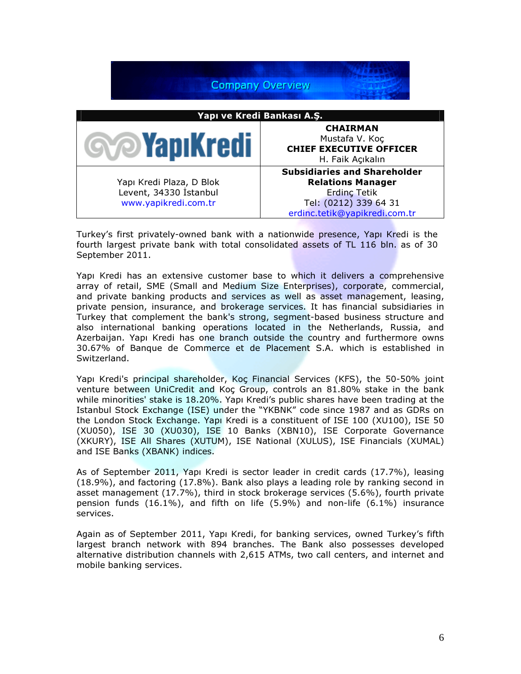

Turkey's first privately-owned bank with a nationwide presence, Yapı Kredi is the fourth largest private bank with total consolidated assets of TL 116 bln. as of 30 September 2011.

Yapı Kredi has an extensive customer base to which it delivers a comprehensive array of retail, SME (Small and Medium Size Enterprises), corporate, commercial, and private banking products and services as well as asset management, leasing, private pension, insurance, and brokerage services. It has financial subsidiaries in Turkey that complement the bank's strong, segment-based business structure and also international banking operations located in the Netherlands, Russia, and Azerbaijan. Yapı Kredi has one branch outside the country and furthermore owns 30.67% of Banque de Commerce et de Placement S.A. which is established in Switzerland.

Yapı Kredi's principal shareholder, Koç Financial Services (KFS), the 50-50% joint venture between UniCredit and Koç Group, controls an 81.80% stake in the bank while minorities' stake is 18.20%. Yapı Kredi's public shares have been trading at the Istanbul Stock Exchange (ISE) under the "YKBNK" code since 1987 and as GDRs on the London Stock Exchange. Yapı Kredi is a constituent of ISE 100 (XU100), ISE 50 (XU050), ISE 30 (XU030), ISE 10 Banks (XBN10), ISE Corporate Governance (XKURY), ISE All Shares (XUTUM), ISE National (XULUS), ISE Financials (XUMAL) and ISE Banks (XBANK) indices.

As of September 2011, Yapı Kredi is sector leader in credit cards (17.7%), leasing (18.9%), and factoring (17.8%). Bank also plays a leading role by ranking second in asset management (17.7%), third in stock brokerage services (5.6%), fourth private pension funds (16.1%), and fifth on life (5.9%) and non-life (6.1%) insurance services.

Again as of September 2011, Yapı Kredi, for banking services, owned Turkey's fifth largest branch network with 894 branches. The Bank also possesses developed alternative distribution channels with 2,615 ATMs, two call centers, and internet and mobile banking services.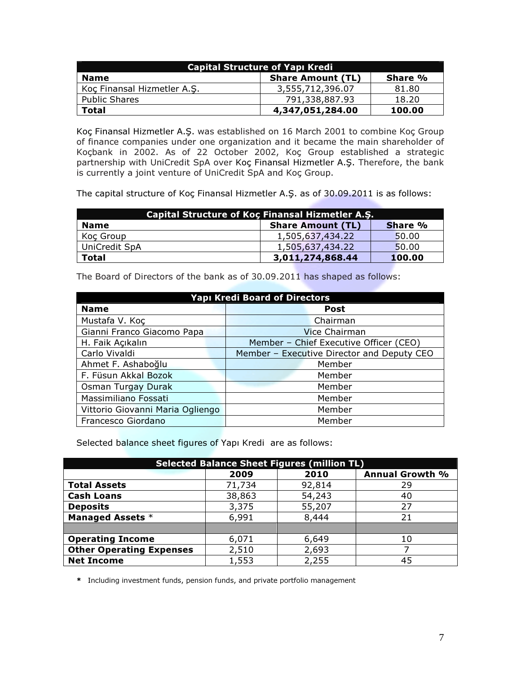| <b>Capital Structure of Yapı Kredi</b> |                          |         |  |
|----------------------------------------|--------------------------|---------|--|
| <b>Name</b>                            | <b>Share Amount (TL)</b> | Share % |  |
| Koc Finansal Hizmetler A.S.            | 3,555,712,396.07         | 81.80   |  |
| <b>Public Shares</b>                   | 791,338,887.93           | 18.20   |  |
| Total                                  | 4,347,051,284.00         | 100.00  |  |

Koç Finansal Hizmetler A.Ş. was established on 16 March 2001 to combine Koç Group of finance companies under one organization and it became the main shareholder of Koçbank in 2002. As of 22 October 2002, Koç Group established a strategic partnership with UniCredit SpA over Koç Finansal Hizmetler A.Ş. Therefore, the bank is currently a joint venture of UniCredit SpA and Koç Group.

The capital structure of Koç Finansal Hizmetler A.Ş. as of 30.09.2011 is as follows:

| Capital Structure of Koç Finansal Hizmetler A.Ş. |                          |         |  |
|--------------------------------------------------|--------------------------|---------|--|
| <b>Name</b>                                      | <b>Share Amount (TL)</b> | Share % |  |
| Koç Group                                        | 1,505,637,434.22         | 50.00   |  |
| UniCredit SpA                                    | 1,505,637,434.22         | 50.00   |  |
| <b>Total</b>                                     | 3,011,274,868.44         | 100.00  |  |

The Board of Directors of the bank as of 30.09.2011 has shaped as follows:

| <b>Yapı Kredi Board of Directors</b> |                                            |  |  |
|--------------------------------------|--------------------------------------------|--|--|
| <b>Name</b>                          | <b>Post</b>                                |  |  |
| Mustafa V. Koç                       | Chairman                                   |  |  |
| Gianni Franco Giacomo Papa           | Vice Chairman                              |  |  |
| H. Faik Açıkalın                     | Member - Chief Executive Officer (CEO)     |  |  |
| Carlo Vivaldi                        | Member - Executive Director and Deputy CEO |  |  |
| Ahmet F. Ashaboğlu                   | Member                                     |  |  |
| F. Füsun Akkal Bozok                 | Member                                     |  |  |
| Osman Turgay Durak                   | Member                                     |  |  |
| Massimiliano Fossati                 | Member                                     |  |  |
| Vittorio Giovanni Maria Ogliengo     | Member                                     |  |  |
| Francesco Giordano                   | Member                                     |  |  |

Selected balance sheet figures of Yapı Kredi are as follows:

| <b>Selected Balance Sheet Figures (million TL)</b> |        |        |                        |  |
|----------------------------------------------------|--------|--------|------------------------|--|
|                                                    | 2009   | 2010   | <b>Annual Growth %</b> |  |
| <b>Total Assets</b>                                | 71,734 | 92,814 | 29                     |  |
| <b>Cash Loans</b>                                  | 38,863 | 54,243 | 40                     |  |
| <b>Deposits</b>                                    | 3,375  | 55,207 | 27                     |  |
| <b>Managed Assets *</b>                            | 6,991  | 8,444  | 21                     |  |
|                                                    |        |        |                        |  |
| <b>Operating Income</b>                            | 6,071  | 6,649  | 10                     |  |
| <b>Other Operating Expenses</b>                    | 2,510  | 2,693  |                        |  |
| <b>Net Income</b>                                  | 1,553  | 2,255  | 45                     |  |

\* Including investment funds, pension funds, and private portfolio management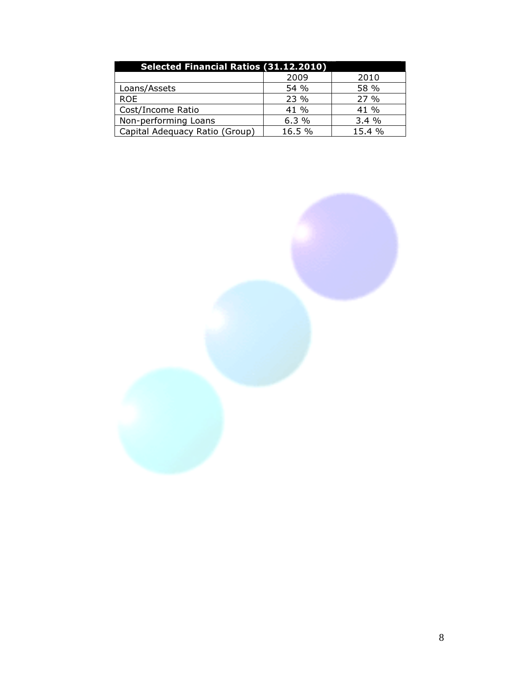| <b>Selected Financial Ratios (31.12.2010)</b> |        |        |  |  |
|-----------------------------------------------|--------|--------|--|--|
|                                               | 2009   | 2010   |  |  |
| Loans/Assets                                  | 54 %   | 58 %   |  |  |
| <b>ROE</b>                                    | 23 %   | 27%    |  |  |
| Cost/Income Ratio                             | 41 %   | 41 %   |  |  |
| Non-performing Loans                          | 6.3%   | 3.4%   |  |  |
| Capital Adequacy Ratio (Group)                | 16.5 % | 15.4 % |  |  |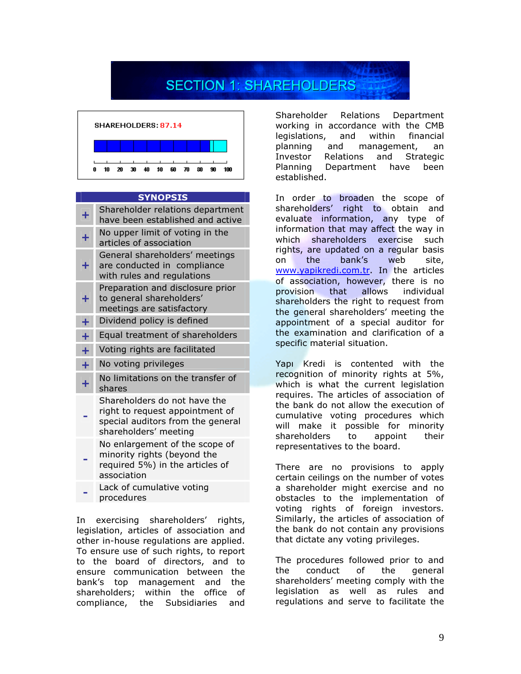# **SECTION 1: SHAREHOLDERS**



#### SYNOPSIS

| ╋         | Shareholder relations department<br>have been established and active                                                          |
|-----------|-------------------------------------------------------------------------------------------------------------------------------|
| Ŧ         | No upper limit of voting in the<br>articles of association                                                                    |
| ÷         | General shareholders' meetings<br>are conducted in compliance<br>with rules and regulations                                   |
| ٠         | Preparation and disclosure prior<br>to general shareholders'<br>meetings are satisfactory                                     |
| Ŧ         | Dividend policy is defined                                                                                                    |
| Ŧ         | Equal treatment of shareholders                                                                                               |
| $\ddot{}$ | Voting rights are facilitated                                                                                                 |
| Ŧ         | No voting privileges                                                                                                          |
| Ŧ         | No limitations on the transfer of<br>shares                                                                                   |
|           | Shareholders do not have the<br>right to request appointment of<br>special auditors from the general<br>shareholders' meeting |
|           | No enlargement of the scope of<br>minority rights (beyond the<br>required 5%) in the articles of<br>association               |
|           | Lack of cumulative voting<br>procedures                                                                                       |

In exercising shareholders' rights, legislation, articles of association and other in-house regulations are applied. To ensure use of such rights, to report to the board of directors, and to ensure communication between the bank's top management and the shareholders; within the office of compliance, the Subsidiaries and

Shareholder Relations Department working in accordance with the CMB legislations, and within financial planning and management, an Investor Relations and Strategic Planning Department have been established.

In order to broaden the scope of shareholders' right to obtain and evaluate information, any type of information that may affect the way in which shareholders exercise such rights, are updated on a regular basis on the bank's web site, www.yapikredi.com.tr. In the articles of association, however, there is no provision that allows individual shareholders the right to request from the general shareholders' meeting the appointment of a special auditor for the examination and clarification of a specific material situation.

Yapı Kredi is contented with the recognition of minority rights at 5%, which is what the current legislation requires. The articles of association of the bank do not allow the execution of cumulative voting procedures which will make it possible for minority shareholders to appoint their representatives to the board.

There are no provisions to apply certain ceilings on the number of votes a shareholder might exercise and no obstacles to the implementation of voting rights of foreign investors. Similarly, the articles of association of the bank do not contain any provisions that dictate any voting privileges.

The procedures followed prior to and the conduct of the general shareholders' meeting comply with the legislation as well as rules and regulations and serve to facilitate the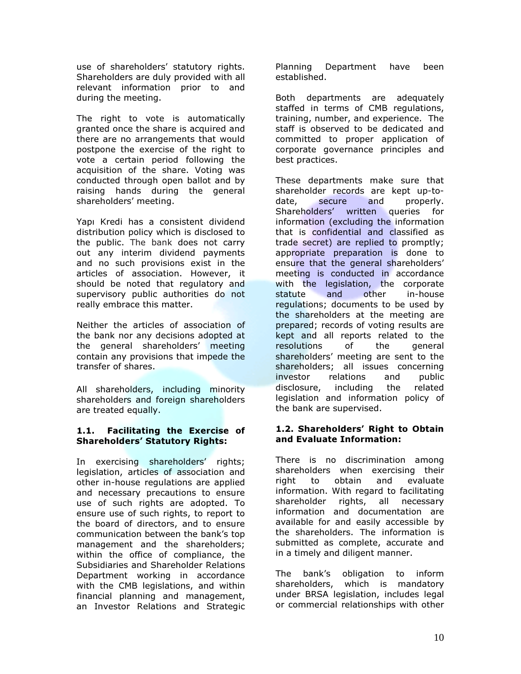use of shareholders' statutory rights. Shareholders are duly provided with all relevant information prior to and during the meeting.

The right to vote is automatically granted once the share is acquired and there are no arrangements that would postpone the exercise of the right to vote a certain period following the acquisition of the share. Voting was conducted through open ballot and by raising hands during the general shareholders' meeting.

Yapı Kredi has a consistent dividend distribution policy which is disclosed to the public. The bank does not carry out any interim dividend payments and no such provisions exist in the articles of association. However, it should be noted that regulatory and supervisory public authorities do not really embrace this matter.

Neither the articles of association of the bank nor any decisions adopted at the general shareholders' meeting contain any provisions that impede the transfer of shares.

All shareholders, including minority shareholders and foreign shareholders are treated equally.

#### 1.1. Facilitating the Exercise of Shareholders' Statutory Rights:

In exercising shareholders' rights; legislation, articles of association and other in-house regulations are applied and necessary precautions to ensure use of such rights are adopted. To ensure use of such rights, to report to the board of directors, and to ensure communication between the bank's top management and the shareholders; within the office of compliance, the Subsidiaries and Shareholder Relations Department working in accordance with the CMB legislations, and within financial planning and management, an Investor Relations and Strategic

Planning Department have been established.

Both departments are adequately staffed in terms of CMB regulations, training, number, and experience. The staff is observed to be dedicated and committed to proper application of corporate governance principles and best practices.

These departments make sure that shareholder records are kept up-todate, secure and properly. Shareholders' written queries for information (excluding the information that is confidential and classified as trade secret) are replied to promptly; appropriate preparation is done to ensure that the general shareholders' meeting is conducted in accordance with the legislation, the corporate statute and other in-house regulations; documents to be used by the shareholders at the meeting are prepared; records of voting results are kept and all reports related to the resolutions of the general shareholders' meeting are sent to the shareholders; all issues concerning investor relations and public disclosure, including the related legislation and information policy of the bank are supervised.

#### 1.2. Shareholders' Right to Obtain and Evaluate Information:

There is no discrimination among shareholders when exercising their right to obtain and evaluate information. With regard to facilitating shareholder rights, all necessary information and documentation are available for and easily accessible by the shareholders. The information is submitted as complete, accurate and in a timely and diligent manner.

The bank's obligation to inform shareholders, which is mandatory under BRSA legislation, includes legal or commercial relationships with other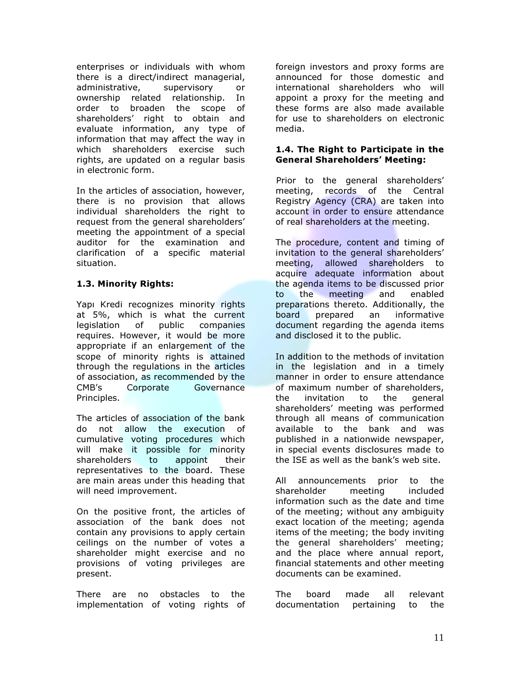enterprises or individuals with whom there is a direct/indirect managerial, administrative, supervisory or ownership related relationship. In order to broaden the scope of shareholders' right to obtain and evaluate information, any type of information that may affect the way in which shareholders exercise such rights, are updated on a regular basis in electronic form.

In the articles of association, however, there is no provision that allows individual shareholders the right to request from the general shareholders' meeting the appointment of a special auditor for the examination and clarification of a specific material situation.

#### 1.3. Minority Rights:

Yapı Kredi recognizes minority rights at 5%, which is what the current legislation of public companies requires. However, it would be more appropriate if an enlargement of the scope of minority rights is attained through the regulations in the articles of association, as recommended by the CMB's Corporate Governance Principles.

The articles of association of the bank do not allow the execution of cumulative voting procedures which will make it possible for minority shareholders to appoint their representatives to the board. These are main areas under this heading that will need improvement.

On the positive front, the articles of association of the bank does not contain any provisions to apply certain ceilings on the number of votes a shareholder might exercise and no provisions of voting privileges are present.

There are no obstacles to the implementation of voting rights of foreign investors and proxy forms are announced for those domestic and international shareholders who will appoint a proxy for the meeting and these forms are also made available for use to shareholders on electronic media.

#### 1.4. The Right to Participate in the General Shareholders' Meeting:

Prior to the general shareholders' meeting, records of the Central Registry Agency (CRA) are taken into account in order to ensure attendance of real shareholders at the meeting.

The procedure, content and timing of invitation to the general shareholders' meeting, allowed shareholders to acquire adequate information about the agenda items to be discussed prior to the meeting and enabled preparations thereto. Additionally, the board prepared an informative document regarding the agenda items and disclosed it to the public.

In addition to the methods of invitation in the legislation and in a timely manner in order to ensure attendance of maximum number of shareholders, the invitation to the general shareholders' meeting was performed through all means of communication available to the bank and was published in a nationwide newspaper, in special events disclosures made to the ISE as well as the bank's web site.

All announcements prior to the shareholder meeting included information such as the date and time of the meeting; without any ambiguity exact location of the meeting; agenda items of the meeting; the body inviting the general shareholders' meeting; and the place where annual report, financial statements and other meeting documents can be examined.

The board made all relevant documentation pertaining to the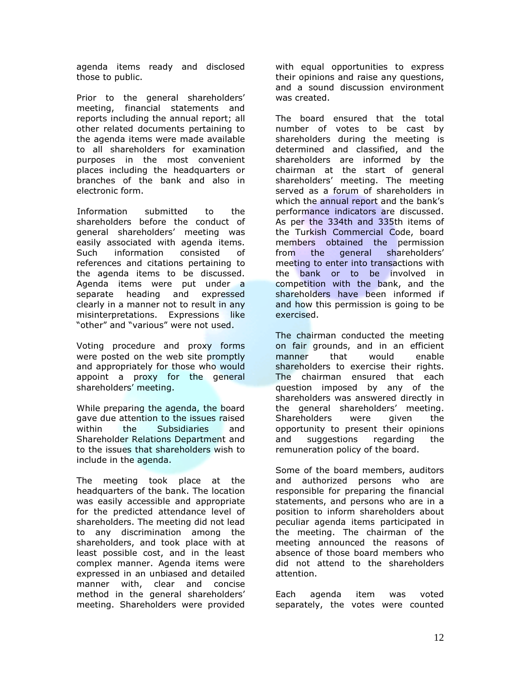agenda items ready and disclosed those to public.

Prior to the general shareholders' meeting, financial statements and reports including the annual report; all other related documents pertaining to the agenda items were made available to all shareholders for examination purposes in the most convenient places including the headquarters or branches of the bank and also in electronic form.

Information submitted to the shareholders before the conduct of general shareholders' meeting was easily associated with agenda items. Such information consisted of references and citations pertaining to the agenda items to be discussed. Agenda items were put under a separate heading and expressed clearly in a manner not to result in any misinterpretations. Expressions like "other" and "various" were not used.

Voting procedure and proxy forms were posted on the web site promptly and appropriately for those who would appoint a proxy for the general shareholders' meeting.

While preparing the agenda, the board gave due attention to the issues raised within the Subsidiaries and Shareholder Relations Department and to the issues that shareholders wish to include in the agenda.

The meeting took place at the headquarters of the bank. The location was easily accessible and appropriate for the predicted attendance level of shareholders. The meeting did not lead to any discrimination among the shareholders, and took place with at least possible cost, and in the least complex manner. Agenda items were expressed in an unbiased and detailed manner with, clear and concise method in the general shareholders' meeting. Shareholders were provided

with equal opportunities to express their opinions and raise any questions, and a sound discussion environment was created.

The board ensured that the total number of votes to be cast by shareholders during the meeting is determined and classified, and the shareholders are informed by the chairman at the start of general shareholders' meeting. The meeting served as a forum of shareholders in which the annual report and the bank's performance indicators are discussed. As per the 334th and 335th items of the Turkish Commercial Code, board members obtained the permission from the general shareholders' meeting to enter into transactions with the bank or to be involved in competition with the bank, and the shareholders have been informed if and how this permission is going to be exercised.

The chairman conducted the meeting on fair grounds, and in an efficient manner that would enable shareholders to exercise their rights. The chairman ensured that each question imposed by any of the shareholders was answered directly in the general shareholders' meeting. Shareholders were given the opportunity to present their opinions and suggestions regarding the remuneration policy of the board.

Some of the board members, auditors and authorized persons who are responsible for preparing the financial statements, and persons who are in a position to inform shareholders about peculiar agenda items participated in the meeting. The chairman of the meeting announced the reasons of absence of those board members who did not attend to the shareholders attention.

Each agenda item was voted separately, the votes were counted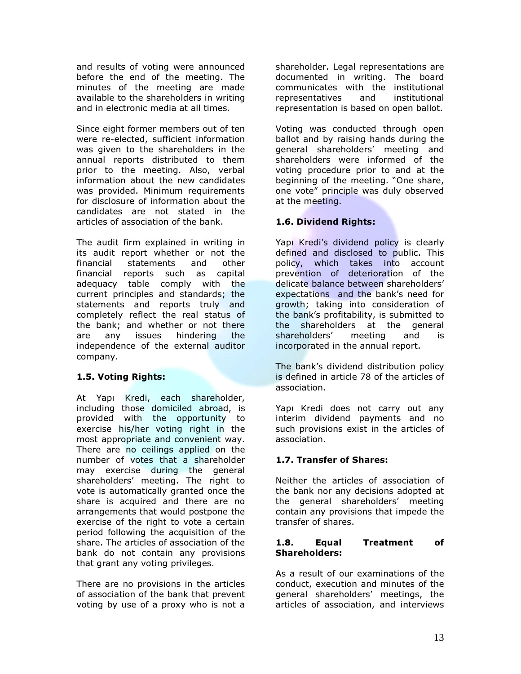and results of voting were announced before the end of the meeting. The minutes of the meeting are made available to the shareholders in writing and in electronic media at all times.

Since eight former members out of ten were re-elected, sufficient information was given to the shareholders in the annual reports distributed to them prior to the meeting. Also, verbal information about the new candidates was provided. Minimum requirements for disclosure of information about the candidates are not stated in the articles of association of the bank.

The audit firm explained in writing in its audit report whether or not the financial statements and other financial reports such as capital adequacy table comply with the current principles and standards; the statements and reports truly and completely reflect the real status of the bank; and whether or not there are any issues hindering the independence of the external auditor company.

#### 1.5. Voting Rights:

At Yapı Kredi, each shareholder, including those domiciled abroad, is provided with the opportunity to exercise his/her voting right in the most appropriate and convenient way. There are no ceilings applied on the number of votes that a shareholder may exercise during the general shareholders' meeting. The right to vote is automatically granted once the share is acquired and there are no arrangements that would postpone the exercise of the right to vote a certain period following the acquisition of the share. The articles of association of the bank do not contain any provisions that grant any voting privileges.

There are no provisions in the articles of association of the bank that prevent voting by use of a proxy who is not a

shareholder. Legal representations are documented in writing. The board communicates with the institutional representatives and institutional representation is based on open ballot.

Voting was conducted through open ballot and by raising hands during the general shareholders' meeting and shareholders were informed of the voting procedure prior to and at the beginning of the meeting. "One share, one vote" principle was duly observed at the meeting.

#### 1.6. Dividend Rights:

Yapı Kredi's dividend policy is clearly defined and disclosed to public. This policy, which takes into account prevention of deterioration of the delicate balance between shareholders' expectations and the bank's need for growth; taking into consideration of the bank's profitability, is submitted to the shareholders at the general shareholders' meeting and is incorporated in the annual report.

The bank's dividend distribution policy is defined in article 78 of the articles of association.

Yapı Kredi does not carry out any interim dividend payments and no such provisions exist in the articles of association.

#### 1.7. Transfer of Shares:

Neither the articles of association of the bank nor any decisions adopted at the general shareholders' meeting contain any provisions that impede the transfer of shares.

#### 1.8. Equal Treatment of Shareholders:

As a result of our examinations of the conduct, execution and minutes of the general shareholders' meetings, the articles of association, and interviews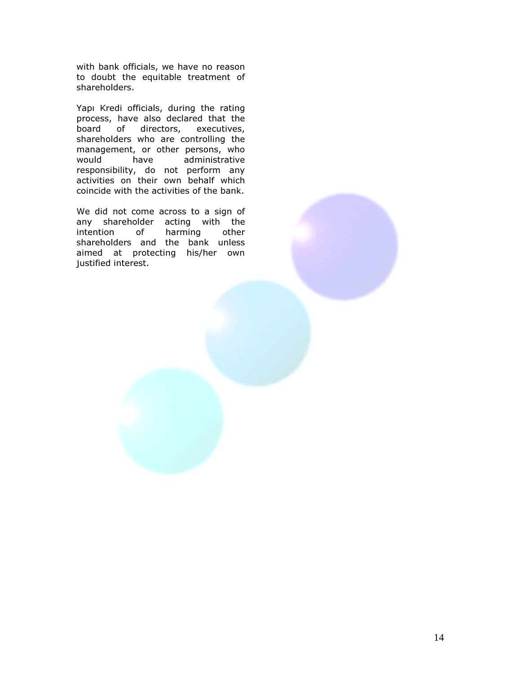with bank officials, we have no reason to doubt the equitable treatment of shareholders.

Yapı Kredi officials, during the rating process, have also declared that the board of directors, executives, shareholders who are controlling the management, or other persons, who<br>would have administrative would have administrative responsibility, do not perform any activities on their own behalf which coincide with the activities of the bank.

We did not come across to a sign of any shareholder acting with the intention of harming other shareholders and the bank unless aimed at protecting his/her own justified interest.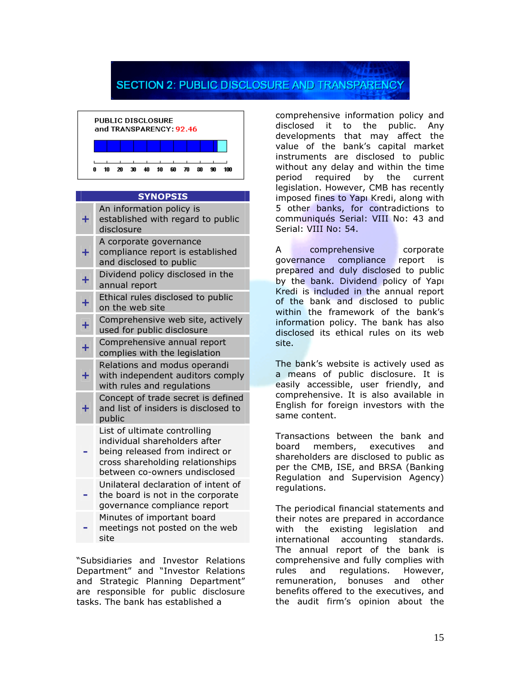### **SECTION 2: PUBLIC DISCLOSURE AND TRANSPARENCY**



#### SYNOPSIS

| ٠  | An information policy is<br>established with regard to public<br>disclosure                                                                                           |
|----|-----------------------------------------------------------------------------------------------------------------------------------------------------------------------|
|    | A corporate governance<br>compliance report is established<br>and disclosed to public                                                                                 |
|    | Dividend policy disclosed in the<br>annual report                                                                                                                     |
|    | Ethical rules disclosed to public<br>on the web site                                                                                                                  |
|    | Comprehensive web site, actively<br>used for public disclosure                                                                                                        |
| Ŧ. | Comprehensive annual report<br>complies with the legislation                                                                                                          |
| ٠  | Relations and modus operandi<br>with independent auditors comply<br>with rules and regulations                                                                        |
|    | Concept of trade secret is defined<br>and list of insiders is disclosed to<br>public                                                                                  |
|    | List of ultimate controlling<br>individual shareholders after<br>being released from indirect or<br>cross shareholding relationships<br>between co-owners undisclosed |
|    | Unilateral declaration of intent of<br>the board is not in the corporate<br>governance compliance report                                                              |
|    | Minutes of important board<br>meetings not posted on the web<br>site                                                                                                  |

"Subsidiaries and Investor Relations Department" and "Investor Relations and Strategic Planning Department" are responsible for public disclosure tasks. The bank has established a

comprehensive information policy and disclosed it to the public. Any developments that may affect the value of the bank's capital market instruments are disclosed to public without any delay and within the time period required by the current legislation. However, CMB has recently imposed fines to Yapı Kredi, along with 5 other banks, for contradictions to communiqués Serial: VIII No: 43 and Serial: VIII No: 54.

comprehensive corporate governance compliance report is prepared and duly disclosed to public by the bank. Dividend policy of Yapı Kredi is included in the annual report of the bank and disclosed to public within the framework of the bank's information policy. The bank has also disclosed its ethical rules on its web site.

The bank's website is actively used as a means of public disclosure. It is easily accessible, user friendly, and comprehensive. It is also available in English for foreign investors with the same content.

Transactions between the bank and board members, executives and shareholders are disclosed to public as per the CMB, ISE, and BRSA (Banking Regulation and Supervision Agency) regulations.

The periodical financial statements and their notes are prepared in accordance with the existing legislation and international accounting standards. The annual report of the bank is comprehensive and fully complies with rules and regulations. However, remuneration, bonuses and other benefits offered to the executives, and the audit firm's opinion about the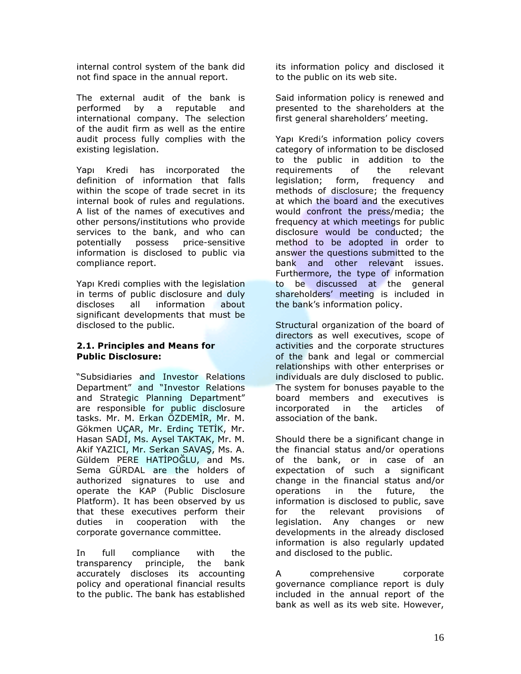internal control system of the bank did not find space in the annual report.

The external audit of the bank is performed by a reputable and international company. The selection of the audit firm as well as the entire audit process fully complies with the existing legislation.

Yapı Kredi has incorporated the definition of information that falls within the scope of trade secret in its internal book of rules and regulations. A list of the names of executives and other persons/institutions who provide services to the bank, and who can potentially possess price-sensitive information is disclosed to public via compliance report.

Yapı Kredi complies with the legislation in terms of public disclosure and duly discloses all information about significant developments that must be disclosed to the public.

#### 2.1. Principles and Means for Public Disclosure:

"Subsidiaries and Investor Relations Department" and "Investor Relations and Strategic Planning Department" are responsible for public disclosure tasks. Mr. M. Erkan ÖZDEMİR, Mr. M. Gökmen UÇAR, Mr. Erdinç TETİK, Mr. Hasan SADİ, Ms. Aysel TAKTAK, Mr. M. Akif YAZICI, Mr. Serkan SAVAŞ, Ms. A. Güldem PERE HATİPOĞLU, and Ms. Sema GÜRDAL are the holders of authorized signatures to use and operate the KAP (Public Disclosure Platform). It has been observed by us that these executives perform their duties in cooperation with the corporate governance committee.

In full compliance with the transparency principle, the bank accurately discloses its accounting policy and operational financial results to the public. The bank has established

its information policy and disclosed it to the public on its web site.

Said information policy is renewed and presented to the shareholders at the first general shareholders' meeting.

Yapı Kredi's information policy covers category of information to be disclosed to the public in addition to the requirements of the relevant legislation; form, frequency and methods of disclosure; the frequency at which the board and the executives would confront the press/media; the frequency at which meetings for public disclosure would be conducted; the method to be adopted in order to answer the questions submitted to the bank and other relevant issues. Furthermore, the type of information to be discussed at the general shareholders' meeting is included in the bank's information policy.

Structural organization of the board of directors as well executives, scope of activities and the corporate structures of the bank and legal or commercial relationships with other enterprises or individuals are duly disclosed to public. The system for bonuses payable to the board members and executives is incorporated in the articles of association of the bank.

Should there be a significant change in the financial status and/or operations of the bank, or in case of an expectation of such a significant change in the financial status and/or operations in the future, the information is disclosed to public, save for the relevant provisions of legislation. Any changes or new developments in the already disclosed information is also regularly updated and disclosed to the public.

A comprehensive corporate governance compliance report is duly included in the annual report of the bank as well as its web site. However,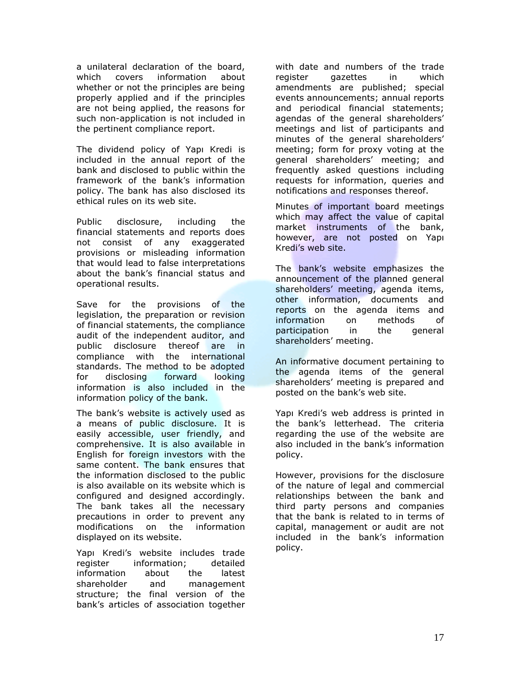a unilateral declaration of the board, which covers information about whether or not the principles are being properly applied and if the principles are not being applied, the reasons for such non-application is not included in the pertinent compliance report.

The dividend policy of Yapı Kredi is included in the annual report of the bank and disclosed to public within the framework of the bank's information policy. The bank has also disclosed its ethical rules on its web site.

Public disclosure, including the financial statements and reports does not consist of any exaggerated provisions or misleading information that would lead to false interpretations about the bank's financial status and operational results.

Save for the provisions of the legislation, the preparation or revision of financial statements, the compliance audit of the independent auditor, and public disclosure thereof are in compliance with the international standards. The method to be adopted for disclosing forward looking information is also included in the information policy of the bank.

The bank's website is actively used as a means of public disclosure. It is easily accessible, user friendly, and comprehensive. It is also available in English for foreign investors with the same content. The bank ensures that the information disclosed to the public is also available on its website which is configured and designed accordingly. The bank takes all the necessary precautions in order to prevent any modifications on the information displayed on its website.

Yapı Kredi's website includes trade register information; detailed information about the latest shareholder and management structure; the final version of the bank's articles of association together

with date and numbers of the trade register gazettes in which amendments are published; special events announcements; annual reports and periodical financial statements; agendas of the general shareholders' meetings and list of participants and minutes of the general shareholders' meeting; form for proxy voting at the general shareholders' meeting; and frequently asked questions including requests for information, queries and notifications and responses thereof.

Minutes of important board meetings which may affect the value of capital market instruments of the bank, however, are not posted on Yapı Kredi's web site.

The bank's website emphasizes the announcement of the planned general shareholders' meeting, agenda items, other information, documents and reports on the agenda items and information on methods of participation in the general shareholders' meeting.

An informative document pertaining to the agenda items of the general shareholders' meeting is prepared and posted on the bank's web site.

Yapı Kredi's web address is printed in the bank's letterhead. The criteria regarding the use of the website are also included in the bank's information policy.

However, provisions for the disclosure of the nature of legal and commercial relationships between the bank and third party persons and companies that the bank is related to in terms of capital, management or audit are not included in the bank's information policy.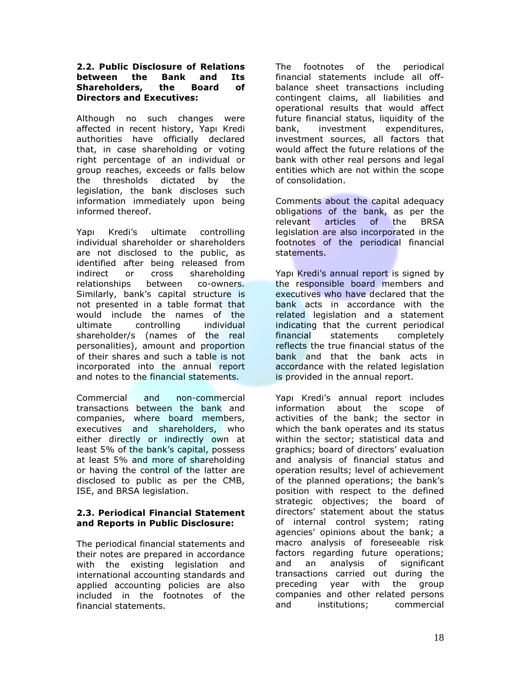#### 2.2. Public Disclosure of Relations between the Bank and Its Shareholders, the Board of Directors and Executives:

Although no such changes were affected in recent history, Yapı Kredi authorities have officially declared that, in case shareholding or voting right percentage of an individual or group reaches, exceeds or falls below the thresholds dictated by the legislation, the bank discloses such information immediately upon being informed thereof.

Yapı Kredi's ultimate controlling individual shareholder or shareholders are not disclosed to the public, as identified after being released from indirect or cross shareholding relationships between co-owners. Similarly, bank's capital structure is not presented in a table format that would include the names of the ultimate controlling individual shareholder/s (names of the real personalities), amount and proportion of their shares and such a table is not incorporated into the annual report and notes to the financial statements.

Commercial and non-commercial transactions between the bank and companies, where board members, executives and shareholders, who either directly or indirectly own at least 5% of the bank's capital, possess at least 5% and more of shareholding or having the control of the latter are disclosed to public as per the CMB, ISE, and BRSA legislation.

#### 2.3. Periodical Financial Statement and Reports in Public Disclosure:

The periodical financial statements and their notes are prepared in accordance with the existing legislation and international accounting standards and applied accounting policies are also included in the footnotes of the financial statements.

The footnotes of the periodical financial statements include all offbalance sheet transactions including contingent claims, all liabilities and operational results that would affect future financial status, liquidity of the bank, investment expenditures, investment sources, all factors that would affect the future relations of the bank with other real persons and legal entities which are not within the scope of consolidation.

Comments about the capital adequacy obligations of the bank, as per the relevant articles of the BRSA legislation are also incorporated in the footnotes of the periodical financial statements.

Yapı Kredi's annual report is signed by the responsible board members and executives who have declared that the bank acts in accordance with the related legislation and a statement indicating that the current periodical financial statements completely reflects the true financial status of the bank and that the bank acts in accordance with the related legislation is provided in the annual report.

Yapı Kredi's annual report includes information about the scope of activities of the bank; the sector in which the bank operates and its status within the sector; statistical data and graphics; board of directors' evaluation and analysis of financial status and operation results; level of achievement of the planned operations; the bank's position with respect to the defined strategic objectives; the board of directors' statement about the status of internal control system; rating agencies' opinions about the bank; a macro analysis of foreseeable risk factors regarding future operations; and an analysis of significant transactions carried out during the preceding year with the group companies and other related persons and institutions; commercial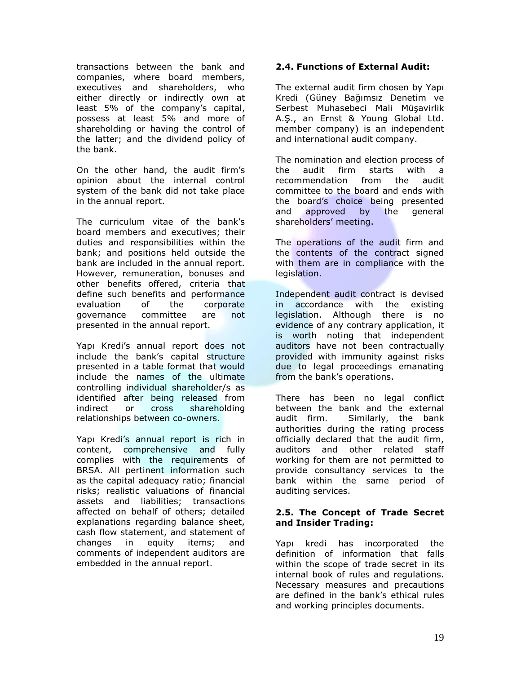transactions between the bank and companies, where board members, executives and shareholders, who either directly or indirectly own at least 5% of the company's capital, possess at least 5% and more of shareholding or having the control of the latter; and the dividend policy of the bank.

On the other hand, the audit firm's opinion about the internal control system of the bank did not take place in the annual report.

The curriculum vitae of the bank's board members and executives; their duties and responsibilities within the bank; and positions held outside the bank are included in the annual report. However, remuneration, bonuses and other benefits offered, criteria that define such benefits and performance evaluation of the corporate governance committee are not presented in the annual report.

Yapı Kredi's annual report does not include the bank's capital structure presented in a table format that would include the names of the ultimate controlling individual shareholder/s as identified after being released from indirect or cross shareholding relationships between co-owners.

Yapı Kredi's annual report is rich in content, comprehensive and fully complies with the requirements of BRSA. All pertinent information such as the capital adequacy ratio; financial risks; realistic valuations of financial assets and liabilities; transactions affected on behalf of others; detailed explanations regarding balance sheet, cash flow statement, and statement of changes in equity items; and comments of independent auditors are embedded in the annual report.

#### 2.4. Functions of External Audit:

The external audit firm chosen by Yapı Kredi (Güney Bağımsız Denetim ve Serbest Muhasebeci Mali Müşavirlik A.Ş., an Ernst & Young Global Ltd. member company) is an independent and international audit company.

The nomination and election process of the audit firm starts with a recommendation from the audit committee to the board and ends with the board's choice being presented and approved by the general shareholders' meeting.

The operations of the audit firm and the contents of the contract signed with them are in compliance with the legislation.

Independent audit contract is devised in accordance with the existing legislation. Although there is no evidence of any contrary application, it is worth noting that independent auditors have not been contractually provided with immunity against risks due to legal proceedings emanating from the bank's operations.

There has been no legal conflict between the bank and the external audit firm. Similarly, the bank authorities during the rating process officially declared that the audit firm, auditors and other related staff working for them are not permitted to provide consultancy services to the bank within the same period of auditing services.

#### 2.5. The Concept of Trade Secret and Insider Trading:

Yapı kredi has incorporated the definition of information that falls within the scope of trade secret in its internal book of rules and regulations. Necessary measures and precautions are defined in the bank's ethical rules and working principles documents.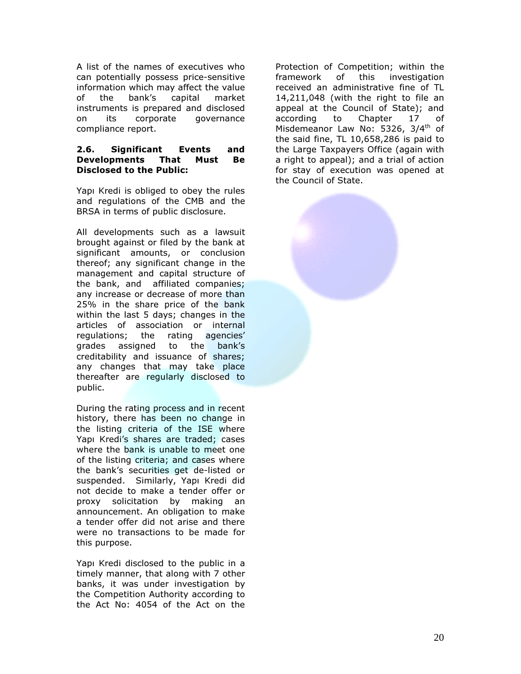A list of the names of executives who can potentially possess price-sensitive information which may affect the value of the bank's capital market instruments is prepared and disclosed on its corporate governance compliance report.

#### 2.6. Significant Events and Developments That Must Be Disclosed to the Public:

Yapı Kredi is obliged to obey the rules and regulations of the CMB and the BRSA in terms of public disclosure.

All developments such as a lawsuit brought against or filed by the bank at significant amounts, or conclusion thereof; any significant change in the management and capital structure of the bank, and affiliated companies; any increase or decrease of more than 25% in the share price of the bank within the last 5 days; changes in the articles of association or internal regulations; the rating agencies' grades assigned to the bank's creditability and issuance of shares; any changes that may take place thereafter are regularly disclosed to public.

During the rating process and in recent history, there has been no change in the listing criteria of the ISE where Yapı Kredi's shares are traded; cases where the bank is unable to meet one of the listing criteria; and cases where the bank's securities get de-listed or suspended. Similarly, Yapı Kredi did not decide to make a tender offer or proxy solicitation by making an announcement. An obligation to make a tender offer did not arise and there were no transactions to be made for this purpose.

Yapı Kredi disclosed to the public in a timely manner, that along with 7 other banks, it was under investigation by the Competition Authority according to the Act No: 4054 of the Act on the

Protection of Competition; within the framework of this investigation received an administrative fine of TL 14,211,048 (with the right to file an appeal at the Council of State); and according to Chapter 17 of Misdemeanor Law No: 5326, 3/4<sup>th</sup> of the said fine, TL 10,658,286 is paid to the Large Taxpayers Office (again with a right to appeal); and a trial of action for stay of execution was opened at the Council of State.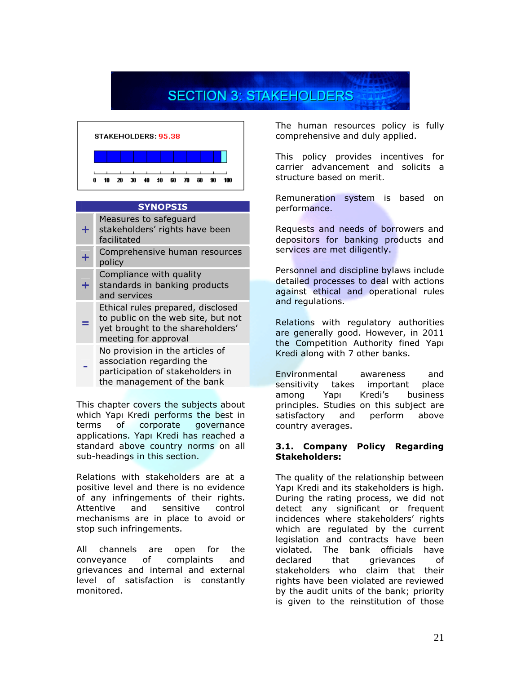## **SECTION 3: STAKEHOLDERS**



#### **SYNOPSIS**

Measures to safeguard

- $+1$ stakeholders' rights have been facilitated
- + Comprehensive human resources policy
	- Compliance with quality
- + standards in banking products and services
- Ethical rules prepared, disclosed to public on the web site, but not
- = yet brought to the shareholders' meeting for approval
	- No provision in the articles of association regarding the participation of stakeholders in the management of the bank

-

This chapter covers the subjects about which Yapı Kredi performs the best in terms of corporate governance applications. Yapı Kredi has reached a standard above country norms on all sub-headings in this section.

Relations with stakeholders are at a positive level and there is no evidence of any infringements of their rights. Attentive and sensitive control mechanisms are in place to avoid or stop such infringements.

All channels are open for the conveyance of complaints and grievances and internal and external level of satisfaction is constantly monitored.

The human resources policy is fully comprehensive and duly applied.

This policy provides incentives for carrier advancement and solicits a structure based on merit.

Remuneration system is based on performance.

Requests and needs of borrowers and depositors for banking products and services are met diligently.

Personnel and discipline bylaws include detailed processes to deal with actions against ethical and operational rules and regulations.

Relations with regulatory authorities are generally good. However, in 2011 the Competition Authority fined Yapı Kredi along with 7 other banks.

Environmental awareness and sensitivity takes important place among Yapı Kredi's business principles. Studies on this subject are satisfactory and perform above country averages.

#### 3.1. Company Policy Regarding Stakeholders:

The quality of the relationship between Yapı Kredi and its stakeholders is high. During the rating process, we did not detect any significant or frequent incidences where stakeholders' rights which are regulated by the current legislation and contracts have been violated. The bank officials have declared that grievances of stakeholders who claim that their rights have been violated are reviewed by the audit units of the bank; priority is given to the reinstitution of those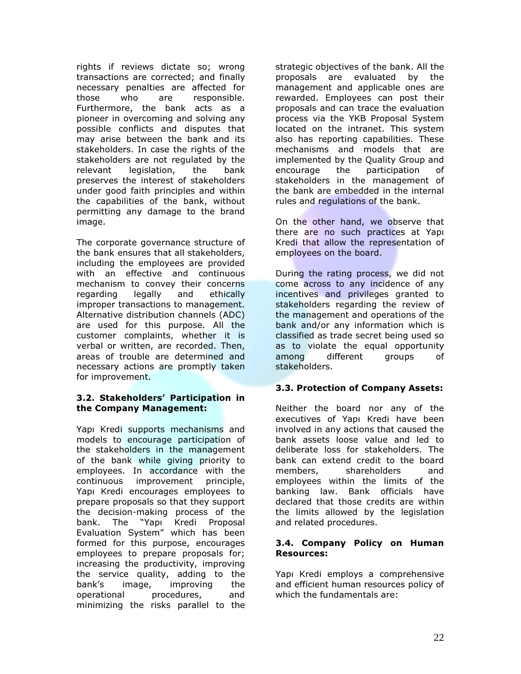rights if reviews dictate so; wrong transactions are corrected; and finally necessary penalties are affected for those who are responsible. Furthermore, the bank acts as a pioneer in overcoming and solving any possible conflicts and disputes that may arise between the bank and its stakeholders. In case the rights of the stakeholders are not regulated by the relevant legislation, the bank preserves the interest of stakeholders under good faith principles and within the capabilities of the bank, without permitting any damage to the brand image.

The corporate governance structure of the bank ensures that all stakeholders, including the employees are provided with an effective and continuous mechanism to convey their concerns regarding legally and ethically improper transactions to management. Alternative distribution channels (ADC) are used for this purpose. All the customer complaints, whether it is verbal or written, are recorded. Then, areas of trouble are determined and necessary actions are promptly taken for improvement.

#### 3.2. Stakeholders' Participation in the Company Management:

Yapı Kredi supports mechanisms and models to encourage participation of the stakeholders in the management of the bank while giving priority to employees. In accordance with the continuous improvement principle, Yapı Kredi encourages employees to prepare proposals so that they support the decision-making process of the bank. The "Yapı Kredi Proposal Evaluation System" which has been formed for this purpose, encourages employees to prepare proposals for; increasing the productivity, improving the service quality, adding to the bank's image, improving the operational procedures, and minimizing the risks parallel to the

strategic objectives of the bank. All the proposals are evaluated by the management and applicable ones are rewarded. Employees can post their proposals and can trace the evaluation process via the YKB Proposal System located on the intranet. This system also has reporting capabilities. These mechanisms and models that are implemented by the Quality Group and encourage the participation of stakeholders in the management of the bank are embedded in the internal rules and regulations of the bank.

On the other hand, we observe that there are no such practices at Yapı Kredi that allow the representation of employees on the board.

During the rating process, we did not come across to any incidence of any incentives and privileges granted to stakeholders regarding the review of the management and operations of the bank and/or any information which is classified as trade secret being used so as to violate the equal opportunity among different groups of stakeholders.

#### 3.3. Protection of Company Assets:

Neither the board nor any of the executives of Yapı Kredi have been involved in any actions that caused the bank assets loose value and led to deliberate loss for stakeholders. The bank can extend credit to the board members, shareholders and employees within the limits of the banking law. Bank officials have declared that those credits are within the limits allowed by the legislation and related procedures.

#### 3.4. Company Policy on Human Resources:

Yapı Kredi employs a comprehensive and efficient human resources policy of which the fundamentals are: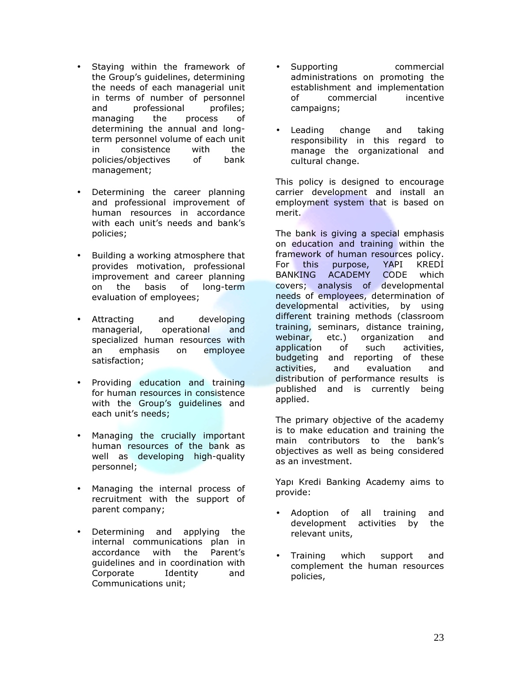- Staying within the framework of the Group's guidelines, determining the needs of each managerial unit in terms of number of personnel and professional profiles; managing the process of determining the annual and longterm personnel volume of each unit in consistence with the policies/objectives of bank management;
- Determining the career planning and professional improvement of human resources in accordance with each unit's needs and bank's policies;
- Building a working atmosphere that provides motivation, professional improvement and career planning on the basis of long-term evaluation of employees;
- Attracting and developing managerial, operational and specialized human resources with an emphasis on employee satisfaction;
- Providing education and training for human resources in consistence with the Group's quidelines and each unit's needs;
- Managing the crucially important human resources of the bank as well as developing high-quality personnel;
- Managing the internal process of recruitment with the support of parent company;
- Determining and applying the internal communications plan in accordance with the Parent's guidelines and in coordination with Corporate Identity and Communications unit;
- Supporting commercial administrations on promoting the establishment and implementation of commercial incentive campaigns;
- Leading change and taking responsibility in this regard to manage the organizational and cultural change.

This policy is designed to encourage carrier development and install an employment system that is based on merit.

The bank is giving a special emphasis on education and training within the framework of human resources policy. For this purpose, YAPI KREDİ BANKING ACADEMY CODE which covers; analysis of developmental needs of employees, determination of developmental activities, by using different training methods (classroom training, seminars, distance training, webinar, etc.) organization and application of such activities, budgeting and reporting of these activities, and evaluation and distribution of performance results is published and is currently being applied.

The primary objective of the academy is to make education and training the main contributors to the bank's objectives as well as being considered as an investment.

Yapı Kredi Banking Academy aims to provide:

- Adoption of all training and development activities by the relevant units,
- Training which support and complement the human resources policies,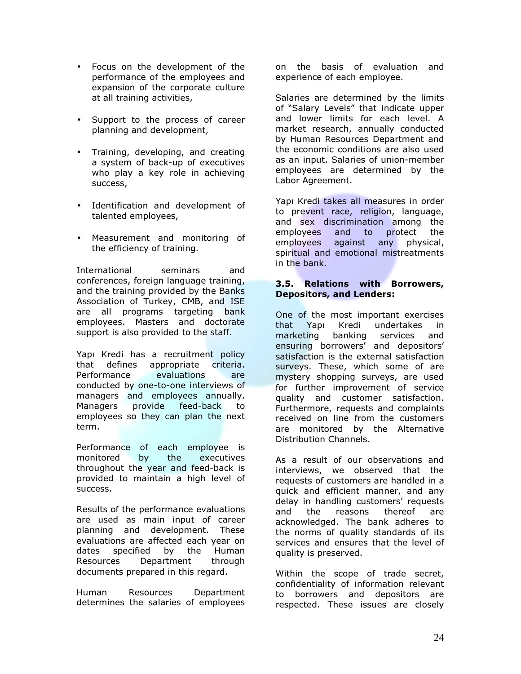- Focus on the development of the performance of the employees and expansion of the corporate culture at all training activities,
- Support to the process of career planning and development,
- Training, developing, and creating a system of back-up of executives who play a key role in achieving success,
- Identification and development of talented employees,
- Measurement and monitoring of the efficiency of training.

International seminars and conferences, foreign language training, and the training provided by the Banks Association of Turkey, CMB, and ISE are all programs targeting bank employees. Masters and doctorate support is also provided to the staff.

Yapı Kredi has a recruitment policy that defines appropriate criteria. Performance evaluations are conducted by one-to-one interviews of managers and employees annually. Managers provide feed-back to employees so they can plan the next term.

Performance of each employee is monitored by the executives throughout the year and feed-back is provided to maintain a high level of success.

Results of the performance evaluations are used as main input of career planning and development. These evaluations are affected each year on dates specified by the Human Resources Department through documents prepared in this regard.

Human Resources Department determines the salaries of employees

on the basis of evaluation and experience of each employee.

Salaries are determined by the limits of "Salary Levels" that indicate upper and lower limits for each level. A market research, annually conducted by Human Resources Department and the economic conditions are also used as an input. Salaries of union-member employees are determined by the Labor Agreement.

Yapı Kredi takes all measures in order to prevent race, religion, language, and sex discrimination among the employees and to protect the employees against any physical, spiritual and emotional mistreatments in the bank.

#### 3.5. Relations with Borrowers, Depositors, and Lenders:

One of the most important exercises that Yapı Kredi undertakes in marketing banking services and ensuring borrowers' and depositors' satisfaction is the external satisfaction surveys. These, which some of are mystery shopping surveys, are used for further improvement of service quality and customer satisfaction. Furthermore, requests and complaints received on line from the customers are monitored by the Alternative Distribution Channels.

As a result of our observations and interviews, we observed that the requests of customers are handled in a quick and efficient manner, and any delay in handling customers' requests and the reasons thereof are acknowledged. The bank adheres to the norms of quality standards of its services and ensures that the level of quality is preserved.

Within the scope of trade secret, confidentiality of information relevant to borrowers and depositors are respected. These issues are closely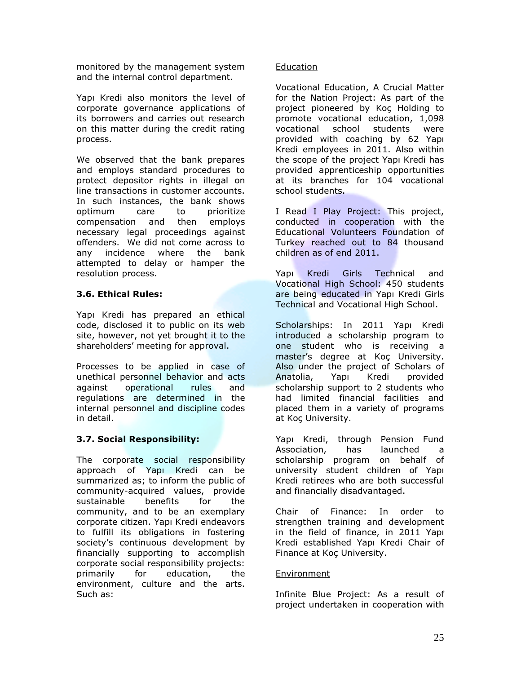monitored by the management system and the internal control department.

Yapı Kredi also monitors the level of corporate governance applications of its borrowers and carries out research on this matter during the credit rating process.

We observed that the bank prepares and employs standard procedures to protect depositor rights in illegal on line transactions in customer accounts. In such instances, the bank shows optimum care to prioritize compensation and then employs necessary legal proceedings against offenders. We did not come across to any incidence where the bank attempted to delay or hamper the resolution process.

#### 3.6. Ethical Rules:

Yapı Kredi has prepared an ethical code, disclosed it to public on its web site, however, not yet brought it to the shareholders' meeting for approval.

Processes to be applied in case of unethical personnel behavior and acts against operational rules and regulations are determined in the internal personnel and discipline codes in detail.

#### 3.7. Social Responsibility:

The corporate social responsibility approach of Yapı Kredi can be summarized as; to inform the public of community-acquired values, provide sustainable benefits for the community, and to be an exemplary corporate citizen. Yapı Kredi endeavors to fulfill its obligations in fostering society's continuous development by financially supporting to accomplish corporate social responsibility projects: primarily for education, the environment, culture and the arts. Such as:

#### Education

Vocational Education, A Crucial Matter for the Nation Project: As part of the project pioneered by Koç Holding to promote vocational education, 1,098 vocational school students were provided with coaching by 62 Yapı Kredi employees in 2011. Also within the scope of the project Yapı Kredi has provided apprenticeship opportunities at its branches for 104 vocational school students.

I Read I Play Project: This project, conducted in cooperation with the Educational Volunteers Foundation of Turkey reached out to 84 thousand children as of end 2011.

Yapı Kredi Girls Technical and Vocational High School: 450 students are being educated in Yapı Kredi Girls Technical and Vocational High School.

Scholarships: In 2011 Yapı Kredi introduced a scholarship program to one student who is receiving a master's degree at Koç University. Also under the project of Scholars of Anatolia, Yapı Kredi provided scholarship support to 2 students who had limited financial facilities and placed them in a variety of programs at Koç University.

Yapı Kredi, through Pension Fund Association, has launched a scholarship program on behalf of university student children of Yapı Kredi retirees who are both successful and financially disadvantaged.

Chair of Finance: In order to strengthen training and development in the field of finance, in 2011 Yapı Kredi established Yapı Kredi Chair of Finance at Koç University.

#### **Environment**

Infinite Blue Project: As a result of project undertaken in cooperation with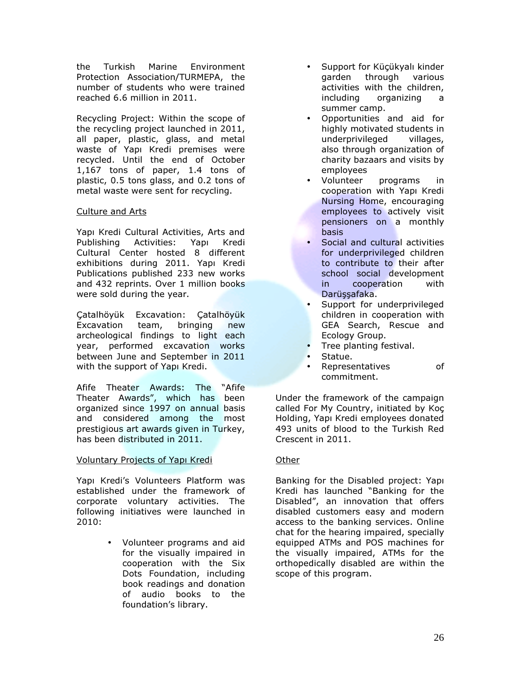the Turkish Marine Environment Protection Association/TURMEPA, the number of students who were trained reached 6.6 million in 2011.

Recycling Project: Within the scope of the recycling project launched in 2011, all paper, plastic, glass, and metal waste of Yapı Kredi premises were recycled. Until the end of October 1,167 tons of paper, 1.4 tons of plastic, 0.5 tons glass, and 0.2 tons of metal waste were sent for recycling.

#### Culture and Arts

Yapı Kredi Cultural Activities, Arts and Publishing Activities: Yapı Kredi Cultural Center hosted 8 different exhibitions during 2011. Yapı Kredi Publications published 233 new works and 432 reprints. Over 1 million books were sold during the year.

Çatalhöyük Excavation: Çatalhöyük Excavation team, bringing new archeological findings to light each year, performed excavation works between June and September in 2011 with the support of Yapı Kredi.

Afife Theater Awards: The "Afife Theater Awards", which has been organized since 1997 on annual basis and considered among the most prestigious art awards given in Turkey, has been distributed in 2011.

#### Voluntary Projects of Yapı Kredi

Yapı Kredi's Volunteers Platform was established under the framework of corporate voluntary activities. The following initiatives were launched in 2010:

> • Volunteer programs and aid for the visually impaired in cooperation with the Six Dots Foundation, including book readings and donation of audio books to the foundation's library.

- Support for Küçükyalı kinder garden through various activities with the children, including organizing a summer camp.
- Opportunities and aid for highly motivated students in underprivileged villages, also through organization of charity bazaars and visits by employees
- Volunteer programs in cooperation with Yapı Kredi Nursing Home, encouraging employees to actively visit pensioners on a monthly basis
- Social and cultural activities for underprivileged children to contribute to their after school social development in cooperation with Darüşşafaka.
- Support for underprivileged children in cooperation with GEA Search, Rescue and Ecology Group.
- Tree planting festival.
- Statue.
- Representatives of commitment.

Under the framework of the campaign called For My Country, initiated by Koç Holding, Yapı Kredi employees donated 493 units of blood to the Turkish Red Crescent in 2011.

#### **Other**

Banking for the Disabled project: Yapı Kredi has launched "Banking for the Disabled", an innovation that offers disabled customers easy and modern access to the banking services. Online chat for the hearing impaired, specially equipped ATMs and POS machines for the visually impaired, ATMs for the orthopedically disabled are within the scope of this program.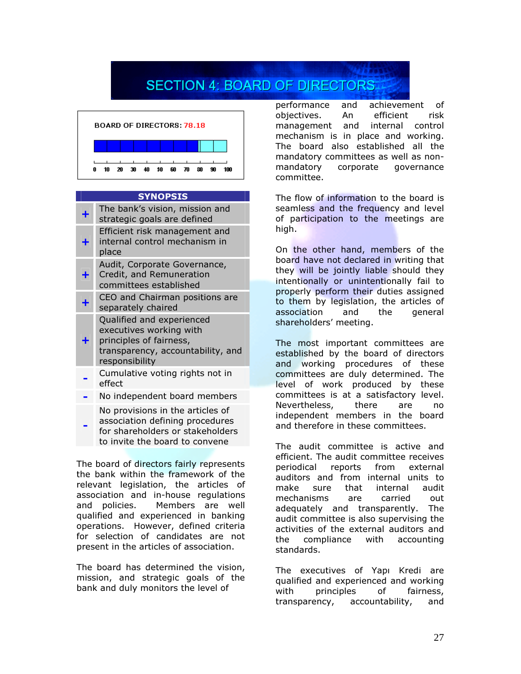## **SECTION 4: BOARD OF DIRECTORS**



#### SYNOPSIS

|   | The bank's vision, mission and<br>strategic goals are defined                                                                          |
|---|----------------------------------------------------------------------------------------------------------------------------------------|
|   | Efficient risk management and<br>internal control mechanism in<br>place                                                                |
| ╋ | Audit, Corporate Governance,<br>Credit, and Remuneration<br>committees established                                                     |
|   | CEO and Chairman positions are<br>separately chaired                                                                                   |
| ۰ | Qualified and experienced<br>executives working with<br>principles of fairness,<br>transparency, accountability, and<br>responsibility |
|   | Cumulative voting rights not in<br>effect                                                                                              |
|   | No independent board members                                                                                                           |
|   | No provisions in the articles of                                                                                                       |

 association defining procedures for shareholders or stakeholders to invite the board to convene

The board of directors fairly represents the bank within the framework of the relevant legislation, the articles of association and in-house regulations and policies. Members are well qualified and experienced in banking operations. However, defined criteria for selection of candidates are not present in the articles of association.

The board has determined the vision, mission, and strategic goals of the bank and duly monitors the level of

performance and achievement of objectives. An efficient risk management and internal control mechanism is in place and working. The board also established all the mandatory committees as well as nonmandatory corporate governance committee.

The flow of information to the board is seamless and the frequency and level of participation to the meetings are high.

On the other hand, members of the board have not declared in writing that they will be jointly liable should they intentionally or unintentionally fail to properly perform their duties assigned to them by legislation, the articles of association and the general shareholders' meeting.

The most important committees are established by the board of directors and working procedures of these committees are duly determined. The level of work produced by these committees is at a satisfactory level. Nevertheless, there are no independent members in the board and therefore in these committees.

The audit committee is active and efficient. The audit committee receives periodical reports from external auditors and from internal units to make sure that internal audit mechanisms are carried out adequately and transparently. The audit committee is also supervising the activities of the external auditors and the compliance with accounting standards.

The executives of Yapı Kredi are qualified and experienced and working with principles of fairness, transparency, accountability, and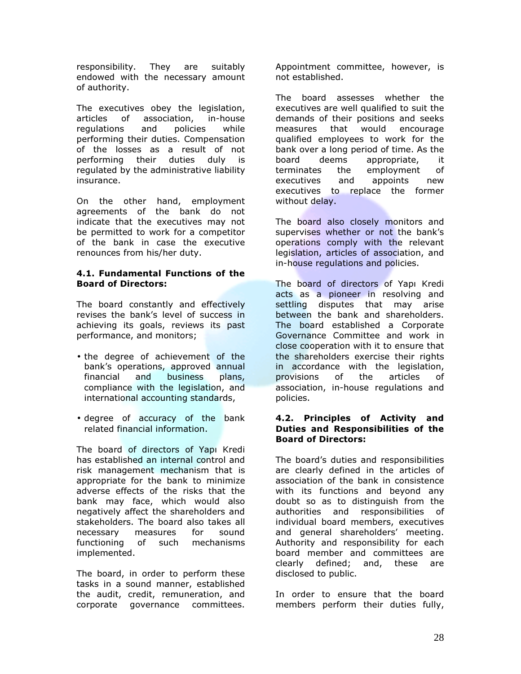responsibility. They are suitably endowed with the necessary amount of authority.

The executives obey the legislation, articles of association, in-house regulations and policies while performing their duties. Compensation of the losses as a result of not performing their duties duly is regulated by the administrative liability insurance.

On the other hand, employment agreements of the bank do not indicate that the executives may not be permitted to work for a competitor of the bank in case the executive renounces from his/her duty.

#### 4.1. Fundamental Functions of the Board of Directors:

The board constantly and effectively revises the bank's level of success in achieving its goals, reviews its past performance, and monitors;

- the degree of achievement of the bank's operations, approved annual financial and business plans, compliance with the legislation, and international accounting standards,
- degree of accuracy of the bank related financial information.

The board of directors of Yapı Kredi has established an internal control and risk management mechanism that is appropriate for the bank to minimize adverse effects of the risks that the bank may face, which would also negatively affect the shareholders and stakeholders. The board also takes all necessary measures for sound functioning of such mechanisms implemented.

The board, in order to perform these tasks in a sound manner, established the audit, credit, remuneration, and corporate governance committees.

Appointment committee, however, is not established.

The board assesses whether the executives are well qualified to suit the demands of their positions and seeks measures that would encourage qualified employees to work for the bank over a long period of time. As the board deems appropriate, it terminates the employment of executives and appoints new executives to replace the former without delay.

The board also closely monitors and supervises whether or not the bank's operations comply with the relevant legislation, articles of association, and in-house regulations and policies.

The board of directors of Yapı Kredi acts as a pioneer in resolving and settling disputes that may arise between the bank and shareholders. The board established a Corporate Governance Committee and work in close cooperation with it to ensure that the shareholders exercise their rights in accordance with the legislation, provisions of the articles of association, in-house regulations and policies.

#### 4.2. Principles of Activity and Duties and Responsibilities of the Board of Directors:

The board's duties and responsibilities are clearly defined in the articles of association of the bank in consistence with its functions and beyond any doubt so as to distinguish from the authorities and responsibilities of individual board members, executives and general shareholders' meeting. Authority and responsibility for each board member and committees are clearly defined; and, these are disclosed to public.

In order to ensure that the board members perform their duties fully,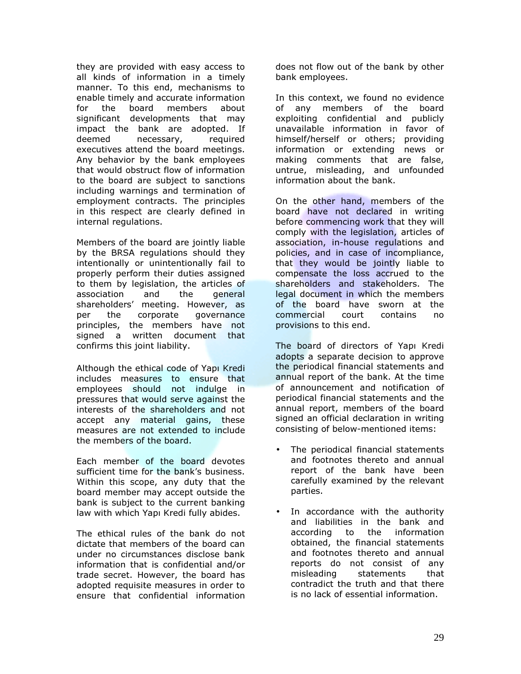they are provided with easy access to all kinds of information in a timely manner. To this end, mechanisms to enable timely and accurate information for the board members about significant developments that may impact the bank are adopted. If deemed necessary, required executives attend the board meetings. Any behavior by the bank employees that would obstruct flow of information to the board are subject to sanctions including warnings and termination of employment contracts. The principles in this respect are clearly defined in internal regulations.

Members of the board are jointly liable by the BRSA regulations should they intentionally or unintentionally fail to properly perform their duties assigned to them by legislation, the articles of association and the general shareholders' meeting. However, as per the corporate governance principles, the members have not signed a written document that confirms this joint liability.

Although the ethical code of Yapı Kredi includes measures to ensure that employees should not indulge in pressures that would serve against the interests of the shareholders and not accept any material gains, these measures are not extended to include the members of the board.

Each member of the board devotes sufficient time for the bank's business. Within this scope, any duty that the board member may accept outside the bank is subject to the current banking law with which Yapı Kredi fully abides.

The ethical rules of the bank do not dictate that members of the board can under no circumstances disclose bank information that is confidential and/or trade secret. However, the board has adopted requisite measures in order to ensure that confidential information

does not flow out of the bank by other bank employees.

In this context, we found no evidence of any members of the board exploiting confidential and publicly unavailable information in favor of himself/herself or others; providing information or extending news or making comments that are false, untrue, misleading, and unfounded information about the bank.

On the other hand, members of the board have not declared in writing before commencing work that they will comply with the legislation, articles of association, in-house regulations and policies, and in case of incompliance, that they would be jointly liable to compensate the loss accrued to the shareholders and stakeholders. The legal document in which the members of the board have sworn at the commercial court contains no provisions to this end.

The board of directors of Yapı Kredi adopts a separate decision to approve the periodical financial statements and annual report of the bank. At the time of announcement and notification of periodical financial statements and the annual report, members of the board signed an official declaration in writing consisting of below-mentioned items:

- The periodical financial statements and footnotes thereto and annual report of the bank have been carefully examined by the relevant parties.
- In accordance with the authority and liabilities in the bank and according to the information obtained, the financial statements and footnotes thereto and annual reports do not consist of any misleading statements that contradict the truth and that there is no lack of essential information.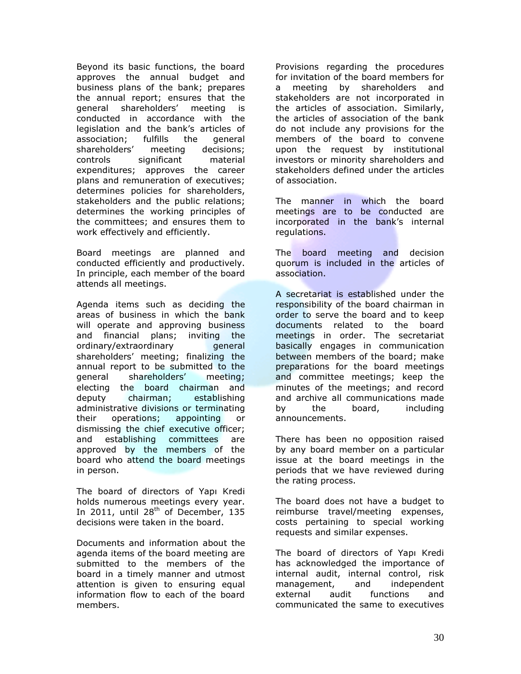Beyond its basic functions, the board approves the annual budget and business plans of the bank; prepares the annual report; ensures that the general shareholders' meeting is conducted in accordance with the legislation and the bank's articles of association; fulfills the general shareholders' meeting decisions; controls significant material expenditures; approves the career plans and remuneration of executives; determines policies for shareholders, stakeholders and the public relations; determines the working principles of the committees; and ensures them to work effectively and efficiently.

Board meetings are planned and conducted efficiently and productively. In principle, each member of the board attends all meetings.

Agenda items such as deciding the areas of business in which the bank will operate and approving business and financial plans; inviting the ordinary/extraordinary general shareholders' meeting; finalizing the annual report to be submitted to the general shareholders' meeting; electing the board chairman and deputy chairman; establishing administrative divisions or terminating their operations; appointing or dismissing the chief executive officer; and establishing committees are approved by the members of the board who attend the board meetings in person.

The board of directors of Yapı Kredi holds numerous meetings every year. In 2011, until  $28<sup>th</sup>$  of December, 135 decisions were taken in the board.

Documents and information about the agenda items of the board meeting are submitted to the members of the board in a timely manner and utmost attention is given to ensuring equal information flow to each of the board members.

Provisions regarding the procedures for invitation of the board members for a meeting by shareholders and stakeholders are not incorporated in the articles of association. Similarly, the articles of association of the bank do not include any provisions for the members of the board to convene upon the request by institutional investors or minority shareholders and stakeholders defined under the articles of association.

The manner in which the board meetings are to be conducted are incorporated in the bank's internal regulations.

The board meeting and decision quorum is included in the articles of association.

A secretariat is established under the responsibility of the board chairman in order to serve the board and to keep documents related to the board meetings in order. The secretariat basically engages in communication between members of the board; make preparations for the board meetings and committee meetings; keep the minutes of the meetings; and record and archive all communications made by the board, including announcements.

There has been no opposition raised by any board member on a particular issue at the board meetings in the periods that we have reviewed during the rating process.

The board does not have a budget to reimburse travel/meeting expenses, costs pertaining to special working requests and similar expenses.

The board of directors of Yapı Kredi has acknowledged the importance of internal audit, internal control, risk management, and independent external audit functions and communicated the same to executives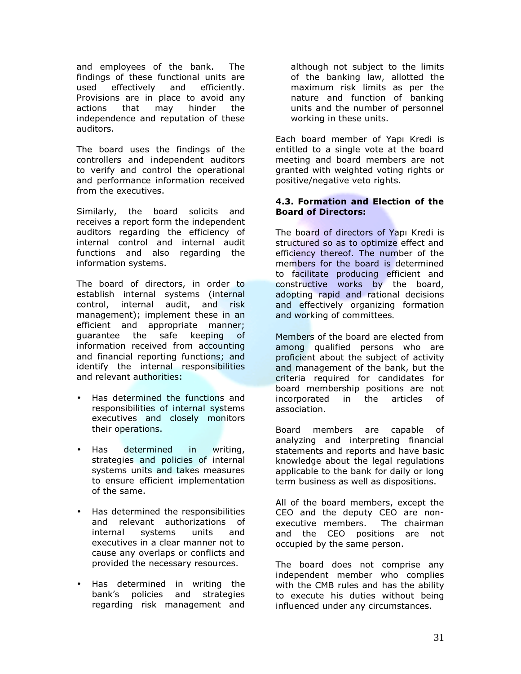and employees of the bank. The findings of these functional units are used effectively and efficiently. Provisions are in place to avoid any actions that may hinder the independence and reputation of these auditors.

The board uses the findings of the controllers and independent auditors to verify and control the operational and performance information received from the executives.

Similarly, the board solicits and receives a report form the independent auditors regarding the efficiency of internal control and internal audit functions and also regarding the information systems.

The board of directors, in order to establish internal systems (internal control, internal audit, and risk management); implement these in an efficient and appropriate manner; guarantee the safe keeping of information received from accounting and financial reporting functions; and identify the internal responsibilities and relevant authorities:

- Has determined the functions and responsibilities of internal systems executives and closely monitors their operations.
- Has determined in writing, strategies and policies of internal systems units and takes measures to ensure efficient implementation of the same.
- Has determined the responsibilities and relevant authorizations of internal systems units and executives in a clear manner not to cause any overlaps or conflicts and provided the necessary resources.
- Has determined in writing the bank's policies and strategies regarding risk management and

although not subject to the limits of the banking law, allotted the maximum risk limits as per the nature and function of banking units and the number of personnel working in these units.

Each board member of Yapı Kredi is entitled to a single vote at the board meeting and board members are not granted with weighted voting rights or positive/negative veto rights.

#### 4.3. Formation and Election of the Board of Directors:

The board of directors of Yapı Kredi is structured so as to optimize effect and efficiency thereof. The number of the members for the board is determined to facilitate producing efficient and constructive works by the board, adopting rapid and rational decisions and effectively organizing formation and working of committees.

Members of the board are elected from among qualified persons who are proficient about the subject of activity and management of the bank, but the criteria required for candidates for board membership positions are not incorporated in the articles of association.

Board members are capable of analyzing and interpreting financial statements and reports and have basic knowledge about the legal regulations applicable to the bank for daily or long term business as well as dispositions.

All of the board members, except the CEO and the deputy CEO are nonexecutive members. The chairman and the CEO positions are not occupied by the same person.

The board does not comprise any independent member who complies with the CMB rules and has the ability to execute his duties without being influenced under any circumstances.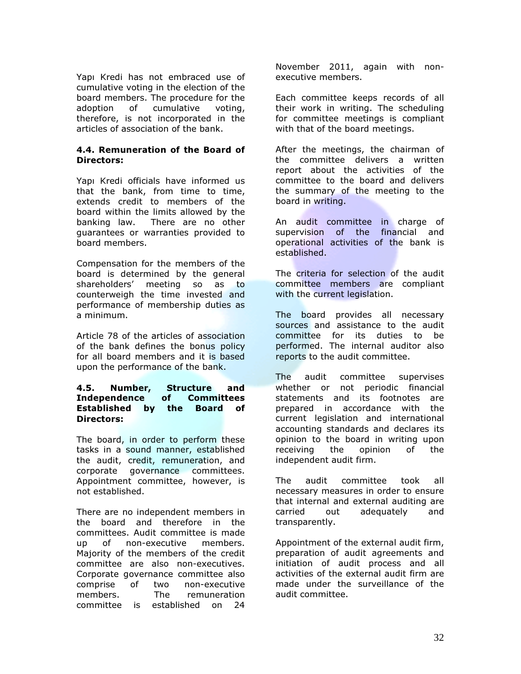Yapı Kredi has not embraced use of cumulative voting in the election of the board members. The procedure for the adoption of cumulative voting, therefore, is not incorporated in the articles of association of the bank.

#### 4.4. Remuneration of the Board of Directors:

Yapı Kredi officials have informed us that the bank, from time to time, extends credit to members of the board within the limits allowed by the banking law. There are no other guarantees or warranties provided to board members.

Compensation for the members of the board is determined by the general shareholders' meeting so as to counterweigh the time invested and performance of membership duties as a minimum.

Article 78 of the articles of association of the bank defines the bonus policy for all board members and it is based upon the performance of the bank.

#### 4.5. Number, Structure and Independence of Committees Established by the Board of Directors:

The board, in order to perform these tasks in a sound manner, established the audit, credit, remuneration, and corporate governance committees. Appointment committee, however, is not established.

There are no independent members in the board and therefore in the committees. Audit committee is made up of non-executive members. Majority of the members of the credit committee are also non-executives. Corporate governance committee also comprise of two non-executive members. The remuneration committee is established on 24

November 2011, again with nonexecutive members.

Each committee keeps records of all their work in writing. The scheduling for committee meetings is compliant with that of the board meetings.

After the meetings, the chairman of the committee delivers a written report about the activities of the committee to the board and delivers the summary of the meeting to the board in writing.

An audit committee in charge of supervision of the financial and operational activities of the bank is established.

The criteria for selection of the audit committee members are compliant with the current legislation.

The board provides all necessary sources and assistance to the audit committee for its duties to be performed. The internal auditor also reports to the audit committee.

The audit committee supervises whether or not periodic financial statements and its footnotes are prepared in accordance with the current legislation and international accounting standards and declares its opinion to the board in writing upon receiving the opinion of the independent audit firm.

The audit committee took all necessary measures in order to ensure that internal and external auditing are carried out adequately and transparently.

Appointment of the external audit firm, preparation of audit agreements and initiation of audit process and all activities of the external audit firm are made under the surveillance of the audit committee.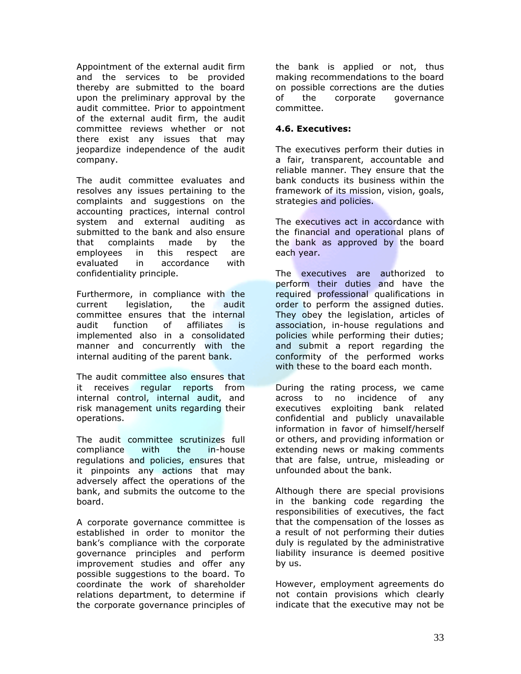Appointment of the external audit firm and the services to be provided thereby are submitted to the board upon the preliminary approval by the audit committee. Prior to appointment of the external audit firm, the audit committee reviews whether or not there exist any issues that may jeopardize independence of the audit company.

The audit committee evaluates and resolves any issues pertaining to the complaints and suggestions on the accounting practices, internal control system and external auditing as submitted to the bank and also ensure that complaints made by the employees in this respect are evaluated in accordance with confidentiality principle.

Furthermore, in compliance with the current legislation, the audit committee ensures that the internal audit function of affiliates is implemented also in a consolidated manner and concurrently with the internal auditing of the parent bank.

The audit committee also ensures that it receives regular reports from internal control, internal audit, and risk management units regarding their operations.

The audit committee scrutinizes full compliance with the in-house regulations and policies, ensures that it pinpoints any actions that may adversely affect the operations of the bank, and submits the outcome to the board.

A corporate governance committee is established in order to monitor the bank's compliance with the corporate governance principles and perform improvement studies and offer any possible suggestions to the board. To coordinate the work of shareholder relations department, to determine if the corporate governance principles of

the bank is applied or not, thus making recommendations to the board on possible corrections are the duties of the corporate governance committee.

#### 4.6. Executives:

The executives perform their duties in a fair, transparent, accountable and reliable manner. They ensure that the bank conducts its business within the framework of its mission, vision, goals, strategies and policies.

The executives act in accordance with the financial and operational plans of the bank as approved by the board each year.

The executives are authorized to perform their duties and have the required professional qualifications in order to perform the assigned duties. They obey the legislation, articles of association, in-house regulations and policies while performing their duties; and submit a report regarding the conformity of the performed works with these to the board each month.

During the rating process, we came across to no incidence of any executives exploiting bank related confidential and publicly unavailable information in favor of himself/herself or others, and providing information or extending news or making comments that are false, untrue, misleading or unfounded about the bank.

Although there are special provisions in the banking code regarding the responsibilities of executives, the fact that the compensation of the losses as a result of not performing their duties duly is regulated by the administrative liability insurance is deemed positive by us.

However, employment agreements do not contain provisions which clearly indicate that the executive may not be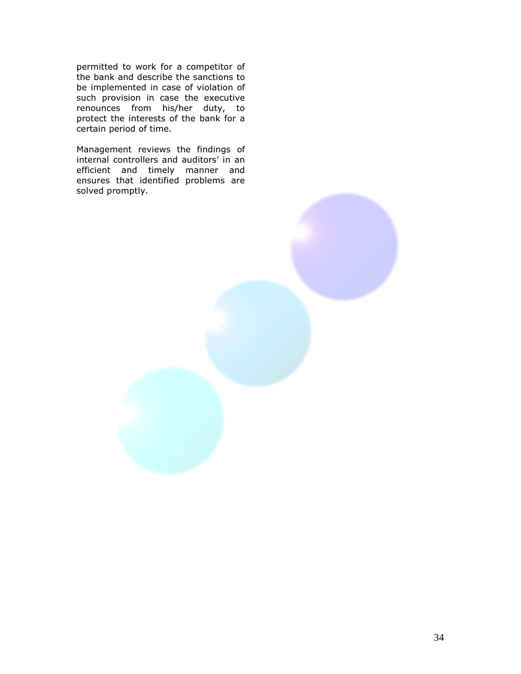permitted to work for a competitor of the bank and describe the sanctions to be implemented in case of violation of such provision in case the executive renounces from his/her duty, to protect the interests of the bank for a certain period of time.

Management reviews the findings of internal controllers and auditors' in an efficient and timely manner and ensures that identified problems are solved promptly.